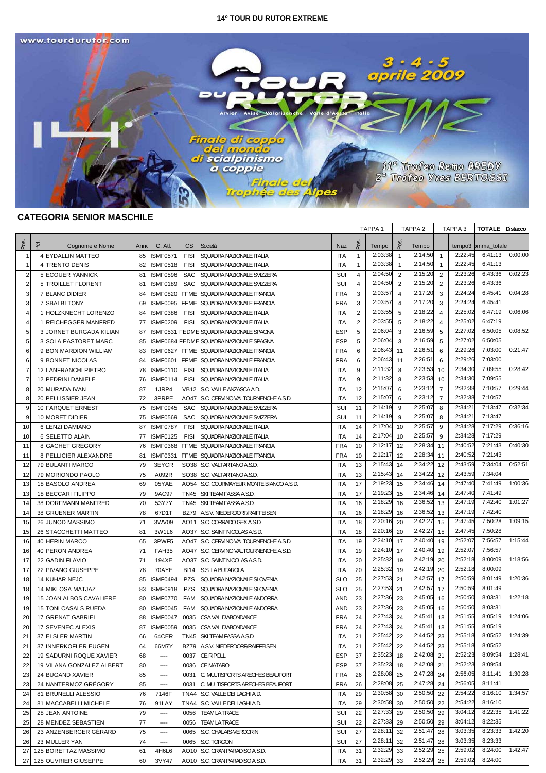

# **CATEGORIA SENIOR MASCHILE**

|                |      |                                              |          |                                    |                            |                                                       |                          |                | TAPPA <sub>1</sub> |                | TAPPA <sub>2</sub> |                | TAPPA <sub>3</sub> | <b>TOTALE</b>      | Distacco |
|----------------|------|----------------------------------------------|----------|------------------------------------|----------------------------|-------------------------------------------------------|--------------------------|----------------|--------------------|----------------|--------------------|----------------|--------------------|--------------------|----------|
| Pos            | Pet. | Cognome e Nome                               | Annd     | C. Atl.                            | <b>CS</b>                  | Società                                               | <b>Naz</b>               | ခို            | Tempo              | စိ             | Tempo              |                | tempo3             | pmma_totale        |          |
| -1             |      | 4 EYDALLIN MATTEO                            | 85       | <b>ISMF0571</b>                    | <b>FISI</b>                | SQUADRA NAZIONALE ITALIA                              | ITA                      | $\mathbf{1}$   | 2:03:38            | $\mathbf{1}$   | 2:14:50            | -1             | 2:22:45            | 6:41:13            | 0:00:00  |
| $\overline{1}$ |      | 4 TRENTO DENIS                               | 82       | <b>ISMF0518</b>                    | <b>FISI</b>                | SQUADRA NAZIONALE ITALIA                              | <b>ITA</b>               | $\mathbf{1}$   | 2:03:38            | -1             | 2:14:50            | 1              | 2:22:45            | 6:41:13            |          |
| $\overline{2}$ |      | 5 ECOUER YANNICK                             | 81       | <b>ISMF0596</b>                    | <b>SAC</b>                 | SQUADRA NAZIONALE SVIZZERA                            | SUI                      | 4              | 2:04:50            | 2              | 2:15:20            | 2              | 2:23:26            | 6:43:36            | 0:02:23  |
| $\overline{2}$ |      | 5 TROILLET FLORENT                           | 81       | <b>ISMF0189</b>                    | <b>SAC</b>                 | SQUADRA NAZIONALE SVIZZERA                            | SUI                      | 4              | 2:04:50            | 2              | 2:15:20            | $\overline{2}$ | 2:23:26            | 6:43:36            |          |
| 3              |      | <b>7 BLANC DIDIER</b>                        | 84       | <b>ISMF0820</b>                    | <b>FFME</b>                | SQUADRA NAZIONALE FRANCIA                             | <b>FRA</b>               | 3              | 2:03:57            | $\overline{4}$ | 2:17:20            | 3              | 2:24:24            | 6:45:4'            | 0:04:28  |
| 3              |      | 7 SBALBI TONY                                | 69       | <b>ISMF0095</b>                    | <b>FFME</b>                | SQUADRA NAZIONALE FRANCIA                             | <b>FRA</b>               | 3              | 2:03:57            | $\overline{4}$ | 2:17:20            | 3              | 2:24:24            | 6:45:41            |          |
| 4              |      | 1 HOLZKNECHT LORENZO                         | 84       | <b>ISMF0386</b>                    | <b>FISI</b>                | SQUADRA NAZIONALE ITALIA                              | <b>ITA</b>               | $\overline{2}$ | 2:03:55            | 5              | 2:18:22            | $\overline{4}$ | 2:25:02            | 6:47:19            | 0:06:06  |
| $\overline{4}$ |      | 1 REICHEGGER MANFRED                         | 77       | <b>ISMF0209</b>                    | <b>FISI</b>                | SQUADRA NAZIONALE ITALIA                              | <b>ITA</b>               | 2              | 2:03:55            | 5              | 2:18:22            | $\overline{4}$ | 2:25:02            | 6:47:19            |          |
| 5              |      | 3 JORNET BURGADA KILIAN                      | 87       |                                    |                            | ISMF0531 FEDME SQUADRA NAZIONALE SPAGNA               | <b>ESP</b>               | 5              | 2:06:04            | 3              | 2:16:59            | 5              | 2:27:02            | 6:50:05            | 0:08:52  |
| 5              |      | 3 SOLA PASTORET MARC                         | 85       |                                    |                            | ISMF0684 FEDME SQUADRA NAZIONALE SPAGNA               | <b>ESP</b>               | 5              | 2:06:04            | 3              | 2:16:59            | 5              | 2:27:02            | 6:50:05            |          |
| 6              |      | 9 BON MARDION WILLIAM                        | 83       | <b>ISMF0627</b>                    | FFME                       | SQUADRA NAZIONALE FRANCIA                             | <b>FRA</b>               | 6              | 2:06:43            | 11             | 2:26:51            | 6              | 2:29:26            | 7:03:00            | 0:21:47  |
| 6              |      | 9 BONNET NICOLAS                             | 84       | <b>ISMF0601</b>                    |                            | FFME SQUADRA NAZIONALE FRANCIA                        | <b>FRA</b>               | 6              | 2:06:43            | 11             | 2:26:51            | 6              | 2:29:26            | 7:03:00            |          |
| -7             |      | 12 LANFRANCHI PIETRO                         | 78       | <b>ISMF0110</b>                    | <b>FISI</b>                | SQUADRA NAZIONALE ITALIA                              | <b>ITA</b>               | 9              | 2:11:32            | 8              | 2:23:53            | 10             | 2:34:30            | 7:09:55            | 0:28:42  |
| -7             |      | 12 PEDRINI DANIELE                           | 76       | ISMF0114                           | <b>FISI</b>                | SQUADRA NAZIONALE ITALIA                              | <b>ITA</b>               | 9              | 2:11:32            | 8              | 2:23:53            | 10             | 2:34:30            | 7:09:55            |          |
| -8             |      | 20 MURADA IVAN                               | 87       | 1JRP4                              |                            | VB12 S.C. VALLE ANZASCA A.D.                          | <b>ITA</b>               | 12             | 2:15:07            | 6              | 2:23:12            | $\overline{7}$ | 2:32:38            | 7:10:57            | 0:29:44  |
| 8              |      | 20 PELLISSIER JEAN                           | 72       | 3PRPE                              | AO47                       | S.C. CERVINO VALTOURNENCHE A.S.D.                     | <b>ITA</b>               | 12             | 2:15:07            | 6              | 2:23:12            | $\overline{7}$ | 2:32:38            | 7:10:57            | 0:32:34  |
| 9              |      | 10 FARQUET ERNEST                            | 75       | <b>ISMF0945</b>                    | <b>SAC</b>                 | SQUADRA NAZIONALE SVIZZERA                            | SUI                      | 11             | 2:14:19            | 9              | 2:25:07            | 8              | 2:34:21            | 7:13:4             |          |
| 9              |      | 10 MORET DIDIER                              | 75       | ISMF0569                           | <b>SAC</b>                 | SQUADRA NAZIONALE SVIZZERA                            | SUI                      | 11             | 2:14:19<br>2:17:04 | 9              | 2:25:07<br>2:25:57 | 8              | 2:34:21<br>2:34:28 | 7:13:47<br>7:17:29 | 0:36:16  |
| 10             |      | 6 LENZI DAMIANO                              | 87       | <b>ISMF0787</b>                    | <b>FISI</b>                | SQUADRA NAZIONALE ITALIA                              | <b>ITA</b>               | 14             | 2:17:04            | 10             | 2:25:57            | 9<br>9         | 2:34:28            | 7:17:29            |          |
| 10             |      | 6 SELETTO ALAIN<br>8 GACHET GRÉGORY          | 77<br>76 | <b>ISMF0125</b><br><b>ISMF0368</b> | <b>FISI</b><br><b>FFME</b> | SQUADRA NAZIONALE ITALIA<br>SQUADRA NAZIONALE FRANCIA | <b>ITA</b><br><b>FRA</b> | 14<br>10       | 2:12:17            | 10<br>12       | 2:28:34            | 11             | 2:40:52            | 7:21:4             | 0:40:30  |
| 11<br>11       |      | 8 PELLICIER ALEXANDRE                        | 81       | <b>ISMF0331</b>                    | <b>FFME</b>                | SQUADRA NAZIONALE FRANCIA                             | <b>FRA</b>               | 10             | 2:12:17            | 12             | 2:28:34            | 11             | 2:40:52            | 7:21:43            |          |
| 12             |      | 79 BULANTI MARCO                             | 79       | 3EYCR                              |                            | SO38 S.C. VALTARTANO A.S.D.                           | ITA                      | 13             | 2:15:43            | 14             | 2:34:22            | 12             | 2:43:59            | 7:34:04            | 0:52:51  |
| 12             |      | 79 MORIONDO PAOLO                            | 75       | A092R                              | SO38                       | S.C. VALTARTANO A.S.D                                 | <b>ITA</b>               | 13             | 2:15:4             | 14             | 2:34:22            | 12             | 2:43:59            | 7:34:04            |          |
| 13             |      | 18 BASOLO ANDREA                             | 69       | 05YAE                              |                            | AO54 S.C. COURMAYEUR MONTE BIANCO A.S.D.              | <b>ITA</b>               | 17             | 2:19:2             | 15             | 2:34:46            | 14             | 2:47:40            | 7:41:49            | 1:00:36  |
| 13             |      | 18 BECCARI FILIPPO                           | 79       | 9AC97                              |                            | TN45 SKI TEAM FASSA A.S.D.                            | <b>ITA</b>               | 17             | 2:19:23            | 15             | 2:34:46            | 14             | 2:47:40            | 7:41:49            |          |
| 14             |      | 38 DORFMANN MANFRED                          | 70       | 53Y7Y                              |                            | TN45 SKI TEAM FASSA A.S.D.                            | <b>ITA</b>               | 16             | 2:18:29            | 16             | 2:36:52            | 13             | 2:47:19            | 7:42:40            | 1:01:27  |
| 14             |      | 38 GRUENER MARTIN                            | 78       | 67D1T                              | BZ79                       | A.S.V. NIEDERDORF/RAIFFEISEN                          | <b>ITA</b>               | 16             | 2:18:29            | 16             | 2:36:52            | 13             | 2:47:19            | 7:42:40            |          |
| 15             |      | 26 JUNOD MASSIMO                             | 71       | 3WV09                              | AO11                       | S.C. CORRADO GEX A.S.D.                               | <b>ITA</b>               | 18             | 2:20:1             | 20             | 2:42:2             | 15             | 2:47:45            | 7:50:2             | 1:09:15  |
| 15             |      | 26 STACCHETTI MATTEO                         | 81       | 3W1L6                              | AO37                       | S.C. SAINT NICOLAS A.S.D                              | <b>ITA</b>               | 18             | 2:20:16            | 20             | 2:42:27            | 15             | 2:47:45            | 7:50:28            |          |
| 16             |      | 40 HERIN MARCO                               | 65       | 3PWF5                              |                            | AO47 S.C. CERVINO VALTOURNENCHE A.S.D.                | <b>ITA</b>               | 19             | 2:24:10            | 17             | 2:40:40            | 19             | 2:52:07            | 7:56:57            | 1:15:44  |
| 16             |      | 40 PERON ANDREA                              | 71       | FAH35                              | AO47                       | S.C. CERVINO VALTOURNENCHE A.S.D.                     | <b>ITA</b>               | 19             | 2:24:10            | 17             | 2:40:40            | 19             | 2:52:07            | 7:56:57            |          |
| 17             |      | 22 GADIN FLAVIO                              | 71       | 194XE                              |                            | AO37 S.C. SAINT NICOLAS A.S.D.                        | <b>ITA</b>               | 20             | 2:25:32            | 19             | 2:42:19            | 20             | 2:52:18            | 8:00:09            | 1:18:56  |
| 17             |      | 22 PIVANO GIUSEPPE                           | 78       | 70AYE                              | BI14                       | S.S. LA BUFAROLA                                      | <b>ITA</b>               | 20             | 2:25:32            | 19             | 2:42:19            | 20             | 2:52:18            | 8:00:09            |          |
| 18             |      | 14 KUHAR NEJC                                | 85       | ISMF0494                           | PZS                        | SQUADRA NAZIONALE SLOVENIA                            | <b>SLO</b>               | 25             | 2:27:53            | 21             | 2:42:57            | 17             | 2:50:59            | 8:01:49            | 1:20:36  |
| 18             |      | 14 MIKLOSA MATJAZ                            | 83       | <b>ISMF0918</b>                    | <b>PZS</b>                 | SQUADRA NAZIONALE SLOVENIA                            | <b>SLO</b>               | 25             | 2:27:53            | 21             | 2:42:57            | 17             | 2:50:59            | 8:01:49            |          |
| 19             |      | 15 JOAN ALBOS CAVALIERE                      | 80       | ISMF0770                           | <b>FAM</b>                 | SQUADRA NAZIONALE ANDORRA                             | AND                      | 23             | 2:27:36            | 23             | 2:45:05            | 16             | 2:50:50            | 8:03:31            | 1:22:18  |
| 19             |      | 15 TONI CASALS RUEDA                         | 80       | <b>ISMF0045</b>                    | <b>FAM</b>                 | SQUADRA NAZIONALE ANDORRA                             | AND                      | 23             | 2:27:36            | 23             | 2:45:05            | 16             | 2:50:50            | 8:03:31            |          |
| 20             |      | 17 GRENAT GABRIEL                            | 88       | <b>ISMF0047</b>                    | 0035                       | CSA VAL D'ABONDANCE                                   | <b>FRA</b>               | 24             | 2:27:43            | 24             | 2:45:41            | 18             | 2:51:55            | 8:05:19            | 1:24:06  |
| 20             |      | 17 SEVENEC ALEXIS                            | 87       | <b>ISMF0059</b>                    | 0035                       | CSA VAL D'ABONDANCE                                   | <b>FRA</b>               | 24             | 2:27:43            | 24             | 2:45:41            | 18             | 2:51:55            | 8:05:19            |          |
| 21             |      | 37 ELSLER MARTIN                             | 66       | 64CER                              |                            | TN45 SKI TEAM FASSA A.S.D.                            | ITA                      | 21             | 2:25:42 22         |                | 2:44:52 23         |                | 2:55:18            | 8:05:52            | 1:24:39  |
| 21             |      | 37 INNERKOFLER EUGEN                         | 64       | 66M7Y                              |                            | BZ79 A.S.V. NIEDERDORF/RAIFFEISEN                     | ITA                      | 21             | 2:25:42            | 22             | 2:44:52            | 23             | 2:55:18            | 8:05:52            |          |
| 22             |      | 19 SADURNI ROQUE XAVIER                      | 68       | ----                               | 0037                       | CE RIPOLL                                             | <b>ESP</b>               | 37             | 2:35:23            | 18             | 2:42:08            | 21             | 2:52:23            | 8:09:54            | 1:28:41  |
| 22             |      | 19 VILANA GONZALEZ ALBERT                    | 80       | ----                               | 0036                       | <b>CE MATARO</b>                                      | ESP                      | 37             | 2:35:23            | 18             | 2:42:08            | 21             | 2:52:23<br>2:56:05 | 8:09:54            | 1:30:28  |
| 23             |      | 24 BUGAND XAVIER                             | 85       | $\hspace{0.05cm}\ldots$ .          | 0031                       | C. MULTISPORTS ARECHES BEAUFORT                       | <b>FRA</b>               | 26             | 2:28:08            | 25             | 2:47:28            | 24             |                    | 8:11:41            |          |
| 23             |      | 24 NANTERMOZ GRÉGORY                         | 85       | ----                               |                            | 0031 C. MULTISPORTS ARECHES BEAUFORT                  | <b>FRA</b>               | 26             | 2:28:08<br>2:30:58 | 25             | 2:47:28<br>2:50:50 | 24             | 2:56:05<br>2:54:22 | 8:11:41<br>8:16:10 | 1:34:57  |
| 24             |      | 81 BRUNELLI ALESSIO<br>81 MACCABELLI MICHELE | 76<br>76 | 7146F<br>91LAY                     |                            | TNA4 S.C. VALLE DEI LAGHI A.D.                        | <b>ITA</b><br>ITA        | 29<br>29       | 2:30:58            | 30<br>30       | 2:50:50            | 22<br>22       | 2:54:22            | 8:16:10            |          |
| 24<br>25       |      | 28 JEAN ANTOINE                              | 79       | ----                               |                            | TNA4 S.C. VALLE DEI LAGHI A.D.<br>0056 TEAM LA TRACE  | SUI                      | 22             | 2:27:33            | 29             | 2:50:50            | 29             | 3:04:12            | 8:22:35            | 1:41:22  |
| 25             |      | 28 MENDEZ SEBASTIEN                          | 77       | $\cdots$                           |                            | 0056   TEAM LA TRACE                                  | SUI                      | 22             | 2:27:33            | 29             | 2:50:50            | 29             | 3:04:12            | 8:22:35            |          |
| 26             |      | 23 ANZENBERGER GÉRARD                        | 75       | $\cdots$                           |                            | 0065 S.C. CHALAIS-VERCORIN                            | SUI                      | 27             | 2:28:11            | 32             | 2:51:47            | 28             | 3:03:35            | 8:23:33            | 1:42:20  |
| 26             |      | 23 MULLER YAN                                | 74       | $\cdots$                           |                            | 0065 S.C. TORGON                                      | SUI                      | 27             | 2:28:11            | 32             | 2:51:47            | 28             | 3:03:35            | 8:23:33            |          |
| 27             |      | 125 BORETTAZ MASSIMO                         | 61       | 4H6L6                              |                            | AO10 S.C. GRAN PARADISO A.S.D.                        | ITA                      | 31             | 2:32:29            | 33             | 2:52:29            | 25             | 2:59:02            | 8:24:00            | 1:42:47  |
| 27             |      | 125 OUVRIER GIUSEPPE                         | 60       | 3VY47                              |                            | AO10 S.C. GRAN PARADISO A.S.D.                        | <b>ITA</b>               | 31             | 2:32:29 33         |                | 2:52:29 25         |                | 2:59:02            | 8:24:00            |          |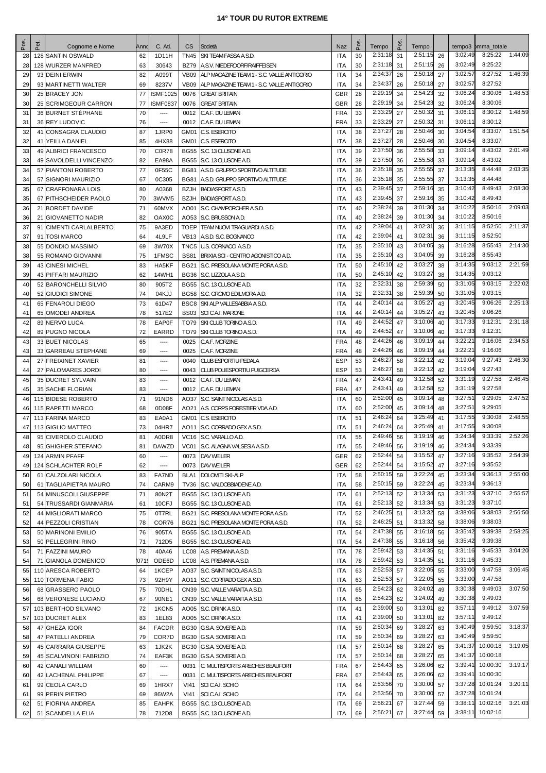| Pos      | Pet.<br>Cognome e Nome                       | Annc     | C. Atl.                              | CS           | Società                                                          | <b>Naz</b>                  | P <sub>os</sub> | Tempo              | P <sub>os</sub> | Tempo              |          | tempo3             | pmma_totale          |         |
|----------|----------------------------------------------|----------|--------------------------------------|--------------|------------------------------------------------------------------|-----------------------------|-----------------|--------------------|-----------------|--------------------|----------|--------------------|----------------------|---------|
| 28       | 128 SANTIN OSWALD                            | 62       | 1D11H                                |              | TN45 SKI TEAM FASSA A.S.D.                                       | <b>ITA</b>                  | 30              | 2:31:18            | 31              | 2:51:15            | 26       | 3:02:49            | 8:25:22              | 1:44:09 |
| 28       | 128 WURZER MANFRED                           | 63       | 30643                                | BZ79         | A.S.V. NIEDERDORF/RAIFFEISEN                                     | <b>ITA</b>                  | 30              | 2:31:18            | 31              | 2:51:15            | 26       | 3:02:49            | 8:25:22              |         |
| 29       | 93 DEINI ERWIN                               | 82       | A099T                                | VB09         | ALP MAGAZINE TEAM 1 - S.C. VALLE ANTIGORIO                       | <b>ITA</b>                  | 34              | 2:34:37            | 26              | 2:50:18            | 27       | 3:02:57            | 8:27:52              | 1:46:39 |
| 29       | 93 MARTINETTI WALTER                         | 69       | 8237V                                |              | VB09 ALP MAGAZINE TEAM 1 - S.C. VALLE ANTIGORIO                  | <b>ITA</b>                  | 34              | 2:34:37            | 26              | 2:50:18            | 27       | 3:02:57            | 8:27:52              |         |
| 30       | 25 BRACEY JON                                | 77       | <b>ISMF1025</b>                      | 0076         | <b>GREAT BRITAIN</b>                                             | <b>GBR</b>                  | 28              | 2:29:19            | 34              | 2:54:23            | 32       | 3:06:24            | 8:30:06              | 1:48:53 |
| 30       | 25 SCRIMGEOUR CARRON                         | 77       | <b>ISMF0837</b>                      | 0076         | <b>GREAT BRITAIN</b>                                             | <b>GBR</b>                  | 28              | 2:29:19            | 34              | 2:54:23            | 32       | 3:06:24            | 8:30:06              |         |
| 31       | 36 BURNET STÉPHANE                           | 70       | $\cdots$                             | 0012         | C.A.F. DU LEMAN                                                  | <b>FRA</b>                  | 33              | 2:33:29<br>2:33:29 | 27              | 2:50:32<br>2:50:32 | 31       | 3:06:11<br>3:06:11 | 8:30:12<br>8:30:12   | 1:48:59 |
| 31<br>32 | 36 REY LUDOVIC<br>41 CONSAGRA CLAUDIO        | 76<br>87 | $\overline{\phantom{a}}$<br>1JRP0    | 0012         | C.A.F. DU LEMAN<br>GM01 C.S. ESERCITO                            | <b>FRA</b><br><b>ITA</b>    | 33<br>38        | 2:37:27            | 27<br>28        | 2:50:46            | 31<br>30 | 3:04:54            | 8:33:07              | 1:51:54 |
| 32       | 41 YEILLA DANIEL                             | 85       | 4HX88                                |              | GM01 C.S. ESERCITO                                               | <b>ITA</b>                  | 38              | 2:37:27            | 28              | 2:50:46            | 30       | 3:04:54            | 8:33:07              |         |
| 33       | 49 ALBRICI FRANCESCO                         | 70       | <b>C0R78</b>                         |              | BG55 S.C. 13 CLUSONE A.D.                                        | <b>ITA</b>                  | 39              | 2:37:50            | 36              | 2:55:58            | 33       | 3:09:14            | 8:43:02              | 2:01:49 |
| 33       | 49 SAVOLDELLI VINCENZO                       | 82       | <b>EA98A</b>                         |              | BG55 S.C. 13 CLUSONE A.D                                         | <b>ITA</b>                  | 39              | 2:37:50            | 36              | 2:55:58            | 33       | 3:09:14            | 8:43:02              |         |
| 34       | 57 PIANTONI ROBERTO                          | 77       | 0F55C                                |              | BG81 A.S.D. GRUPPO SPORTIVO ALTITUDE                             | <b>ITA</b>                  | 36              | 2:35:18            | 35              | 2:55:55            | 37       | 3:13:35            | 8:44:48              | 2:03:35 |
| 34       | 57 SIGNORI MAURIZIO                          | 67       | 0C305                                | <b>BG81</b>  | A.S.D. GRUPPO SPORTIVO ALTITUDE                                  | <b>ITA</b>                  | 36              | 2:35:18            | 35              | 2:55:55            | 37       | 3:13:35            | 8:44:48              |         |
| 35       | 67 CRAFFONARA LOIS                           | 80       | A0368                                |              | <b>BZJH BADIASPORT A.S.D.</b>                                    | <b>ITA</b>                  | 43              | 2:39:45            | 37              | 2:59:16            | 35       | 3:10:42            | 8:49:43              | 2:08:30 |
| 35       | 67 PITHSCHEIDER PAOLO                        | 70       | 3WVM5                                |              | <b>BZJH BADIASPORT A.S.D.</b>                                    | <b>ITA</b>                  | 43              | 2:39:45            | 37              | 2:59:16            | 35       | 3:10:42            | 8:49:43              |         |
| 36       | 21 BORDET DAVIDE                             | 71       | 60MVX                                |              | AO01 S.C. CHAMPORCHER A.S.D.                                     | <b>ITA</b>                  | 40              | 2:38:24            | 39              | 3:01:30            | 34       | 3:10:22            | 8:50:16              | 2:09:03 |
| 36       | 21 GIOVANETTO NADIR                          | 82       | OAX <sub>0</sub> C                   |              | AO53 S.C. BRUSSON A.D                                            | <b>ITA</b>                  | 40              | 2:38:24            | 39              | 3:01:30            | 34       | 3:10:22            | 8:50:16              |         |
| 37       | 91 CIMENTI CARLALBERTO                       | 75       | 9A3ED                                |              | TOEP TEAM NUOVI TRAGUARDI A.S.D.                                 | <b>ITA</b>                  | 42              | 2:39:04            | 41              | 3:02:31            | 36       | 3:11:15            | 8:52:50              | 2:11:37 |
| 37       | 91 TOSI MARCO                                | 64       | 4L9LF                                |              | VB13 A.S.D. S.C. BOGNANCO                                        | <b>ITA</b>                  | 42              | 2:39:04<br>2:35:10 | 41              | 3:02:31<br>3:04:05 | 36       | 3:11:15<br>3:16:28 | 8:52:50<br>8:55:43   | 2:14:30 |
| 38<br>38 | 55 DONDIO MASSIMO<br>55 ROMANO GIOVANNI      | 69<br>75 | 3W70X<br>1FMSC                       | <b>BS81</b>  | TNC5 U.S. CORNACCI A.S.D.<br>BRIXIA SCI - CENTRO AGONISTICO A.D. | <b>ITA</b><br><b>ITA</b>    | 35<br>35        | 2:35:10            | 43<br>43        | 3:04:05            | 39<br>39 | 3:16:28            | 8:55:43              |         |
| 39       | 43 CINESI MICHEL                             | 83       | HA5KF                                |              | BG21 S.C. PRESOLANA MONTE PORA A.S.D.                            | <b>ITA</b>                  | 50              | 2:45:10            | 42              | 3:03:27            | 38       | 3:14:35            | 9:03:12              | 2:21:59 |
| 39       | 43 PIFFARI MAURIZIO                          | 62       | 14WH1                                |              | BG36 S.C. LIZZOLA A.S.D.                                         | <b>ITA</b>                  | 50              | 2:45:10            | 42              | 3:03:27            | 38       | 3:14:35            | 9:03:12              |         |
| 40       | 52 BARONCHELLI SILVIO                        | 80       | 905T2                                |              | BG55 S.C. 13 CLUSONE A.D.                                        | <b>ITA</b>                  | 32              | 2:32:3             | 38              | 2:59:39            | 50       | 3:31:05            | 9:03:15              | 2:22:02 |
| 40       | 52 GIUDICI SIMONE                            | 74       | 04KJJ                                |              | BG58 S.C. GROMO EDILMORA A.D                                     | <b>ITA</b>                  | 32              | 2:32:31            | 38              | 2:59:39            | 50       | 3:31:05            | 9:03:15              |         |
| 41       | 65 FENAROLI DIEGO                            | 73       | 61D47                                |              | <b>BSC8 SKI ALP VALLESABBIA A.S.D.</b>                           | <b>ITA</b>                  | 44              | 2:40:14            | 44              | 3:05:27            | 43       | 3:20:45            | 9:06:26              | 2:25:13 |
| 41       | 65 OMODEI ANDREA                             | 78       | 517E2                                |              | <b>BS03</b> SCI C.A.I. MARONE                                    | <b>ITA</b>                  | 44              | 2:40:14            | 44              | 3:05:27            | 43       | 3:20:45            | 9:06:26              |         |
| 42       | 89 NERVO LUCA                                | 78       | <b>EAP0F</b>                         |              | TO79 SKI CLUB TORINO A.S.D.                                      | <b>ITA</b>                  | 49              | 2:44:52            | 47              | 3:10:06            | 40       | 3:17:33            | 9:12:31              | 2:31:18 |
| 42       | 89 PUGNO NICOLA                              | 72       | EARRD                                |              | TO79 SKI CLUB TORINO A.S.D.                                      | <b>ITA</b>                  | 49              | 2:44:52            | 47              | 3:10:06            | 40       | 3:17:33            | 9:12:31              |         |
| 43       | 33 BUET NICOLAS                              | 65       | $\overline{\phantom{a}}$             | 0025         | C.A.F. MORZINE                                                   | <b>FRA</b>                  | 48              | 2:44:26            | 46              | 3:09:19            | 44       | 3:22:2'            | 9:16:06              | 2:34:53 |
| 43       | 33 GARREAU STEPHANE                          | 69       | $\cdots$                             | 0025         | C.A.F. MORZINE                                                   | <b>FRA</b>                  | 48              | 2:44:26            | 46              | 3:09:19            | 44       | 3:22:21            | 9:16:06              |         |
| 44       | 27 FREIXINET XAVIER                          | 81       | ----                                 | 0040         | <b>CLUB ESPORTIU PEDALA</b>                                      | <b>ESP</b>                  | 53              | 2:46:27<br>2:46:27 | 58              | 3:22:12<br>3:22:12 | 42       | 3:19:04<br>3:19:04 | 9:27:43<br>9:27:43   | 2:46:30 |
| 44<br>45 | 27 PALOMARES JORDI<br>35 DUCRET SYLVAIN      | 80<br>83 | $\overline{\phantom{a}}$<br>$\cdots$ | 0043<br>0012 | <b>CLUB POLIESPORTIU PUIGCERDA</b><br>C.A.F. DU LEMAN            | <b>ESP</b><br><b>FRA</b>    | 53<br>47        | 2:43:41            | 58<br>49        | 3:12:58            | 42<br>52 | 3:31:19            | 9:27:58              | 2:46:45 |
| 45       | 35 SACHE FLORIAN                             | 83       | $\cdots$                             | 0012         | C.A.F. DU LEMAN                                                  | <b>FRA</b>                  | 47              | 2:43:41            | 49              | 3:12:58            | 52       | 3:31:19            | 9:27:58              |         |
| 46       | 115 BIDESE ROBERTO                           | 71       | 91ND6                                |              | AO37 S.C. SAINT NICOLAS A.S.D.                                   | <b>ITA</b>                  | 60              | 2:52:00            | 45              | 3:09:14            | 48       | 3:27:51            | 9:29:05              | 2:47:52 |
| 46       | 115 RAPETTI MARCO                            | 68       | 0D08F                                |              | AO21 A.S. CORPS FORESTIER VDA A.D.                               | <b>ITA</b>                  | 60              | 2:52:00            | 45              | 3:09:14            | 48       | 3:27:51            | 9:29:05              |         |
| 47       | 113 FARINA MARCO                             | 83       | EA0A1                                |              | GM01 C.S. ESERCITO                                               | <b>ITA</b>                  | 51              | 2:46:24            | 64              | 3:25:49            | 41       | 3:17:55            | 9:30:08              | 2:48:55 |
| 47       | 113 GIGLIO MATTEO                            | 73       | 04HR7                                |              | AO11 S.C. CORRADO GEX A.S.D.                                     | <b>ITA</b>                  | 51              | 2:46:24            | 64              | 3:25:49            | 41       | 3:17:55            | 9:30:08              |         |
| 48       | 95 CIVEROLO CLAUDIO                          | 81       | A0DR8                                |              | VC16 S.C. VARALLO A.D.                                           | <b>ITA</b>                  | 55              | 2:49:46            | 56              | 3:19:19            | 46       | 3:24:34            | 9:33:39              | 2:52:26 |
| 48       | 95 GHIGHER STEFANO                           | 81       | <b>DAWZD</b>                         |              | VC01 S.C. ALAGNA VALSESIA A.S.D.                                 | $\ensuremath{\mathsf{ITA}}$ | 55              | 2:49:46            | 56              | 3:19:19            | 46       | 3:24:34            | 9:33:39              |         |
| 49       | 124 ARMIN PFAFF                              | 60       | ----                                 |              | 0073 DAV WEILER                                                  | GER                         | 62              | 2:52:44            | 54              | 3:15:52            | 47       | 3:27:16            | 9:35:52              | 2:54:39 |
| 49       | 124 SCHLACHTER ROLF                          | 62       | ----                                 | 0073         | DAV WEILER                                                       | GER                         | 62              | 2:52:44<br>2:50:15 | 54              | 3:15:52<br>3:22:24 | 47       | 3:27:16<br>3:23:34 | 9:35:52<br>9:36:13   | 2:55:00 |
| 50<br>50 | 61 CALZOLARI NICOLA<br>61 TAGLIAPIETRA MAURO | 83<br>74 | FA7ND<br>CARM9                       |              | <b>BLA1</b> DOLOMITI SKI-ALP<br>TV36 S.C. VALDOBBIADENE A.D.     | ITA<br>ITA                  | 58<br>58        | 2:50:15            | 59<br>59        | 3:22:24            | 45<br>45 | 3:23:34            | 9:36:13              |         |
| 51       | 54 MINUSCOLI GIUSEPPE                        | 71       | 80N2T                                |              | BG55 S.C. 13 CLUSONE A.D.                                        | <b>ITA</b>                  | 61              | 2:52:13            | 52              | 3:13:34            | 53       | 3:31:23            | 9:37:10              | 2:55:57 |
| 51       | 54 TRUSSARDI GIANMARIA                       | 61       | 10CFJ                                |              | BG55 S.C. 13 CLUSONE A.D.                                        | <b>ITA</b>                  | 61              | 2:52:13            | 52              | 3:13:34            | 53       | 3:31:23            | 9:37:10              |         |
| 52       | 44 MIGLIORATI MARCO                          | 75       | 0T7RL                                |              | BG21 S.C. PRESOLANA MONTE PORA A.S.D.                            | <b>ITA</b>                  | 52              | 2:46:25            | 51              | 3:13:32            | 58       | 3:38:06            | 9:38:03              | 2:56:50 |
| 52       | 44 PEZZOLI CRISTIAN                          | 78       | COR76                                |              | BG21 S.C. PRESOLANA MONTE PORA A.S.D.                            | <b>ITA</b>                  | 52              | 2:46:25            | 51              | 3:13:32            | 58       | 3:38:06            | 9:38:03              |         |
| 53       | 50 MARINONI EMILIO                           | 76       | 905TA                                |              | BG55 S.C. 13 CLUSONE A.D.                                        | <b>ITA</b>                  | 54              | 2:47:38            | 55              | 3:16:18            | 56       | 3:35:42            | 9:39:38              | 2:58:25 |
| 53       | 50 PELLEGRINI RINO                           | 71       | 712D <sub>5</sub>                    |              | BG55 S.C. 13 CLUSONE A.D.                                        | <b>ITA</b>                  | 54              | 2:47:38            | 55              | 3:16:18            | 56       | 3:35:42            | 9:39:38              |         |
| 54       | 71 FAZZINI MAURO                             | 78       | 40A46                                |              | LC08   A.S. PREMANA A.S.D.                                       | <b>ITA</b>                  | 78              | 2:59:42            | 53              | 3:14:35            | 51       | 3:31:16            | 9:45:33              | 3:04:20 |
| 54       | 71 GIANOLA DOMENICO                          | 0715     | ODE6D                                |              | LC08 A.S. PREMANA A.S.D.                                         | <b>ITA</b>                  | 78              | 2:59:42            | 53              | 3:14:35            | 51       | 3:31:16            | 9:45:33              |         |
| 55       | 110 ARESCA ROBERTO                           | 64       | 1KCEP                                |              | AO37 S.C. SAINT NICOLAS A.S.D.                                   | <b>ITA</b>                  | 63              | 2:52:53            | 57              | 3:22:05            | 55       | 3:33:00            | 9:47:58              | 3:06:45 |
| 55       | 110 TORMENA FABIO                            | 73       | 92H9Y                                |              | AO11 S.C. CORRADO GEX A.S.D.                                     | <b>ITA</b>                  | 63              | 2:52:53<br>2:54:23 | 57              | 3:22:05<br>3:24:02 | 55       | 3:33:00<br>3:30:38 | 9:47:58<br>9:49:03   | 3:07:50 |
| 56<br>56 | 68 GRASSERO PAOLO<br>68 VERONESE LUCIANO     | 75<br>67 | 70DHL<br>90NE1                       |              | CN39 S.C. VALLE VARAITA A.S.D.<br>CN39 S.C. VALLE VARAITA A.S.D. | ITA<br><b>ITA</b>           | 65<br>65        | 2:54:23            | 62<br>62        | 3:24:02            | 49<br>49 | 3:30:38            | 9:49:03              |         |
| 57       | 103 BERTHOD SILVANO                          | 72       | 1KCN <sub>5</sub>                    |              | AO05 S.C. DRINK A.S.D.                                           | <b>ITA</b>                  | 41              | 2:39:00            | 50              | 3:13:01            | 82       | 3:57:11            | 9:49:12              | 3:07:59 |
| 57       | 103 DUCRET ALEX                              | 83       | 1EL83                                |              | AO05 S.C. DRINK A.S.D.                                           | <b>ITA</b>                  | 41              | 2:39:00            | 50              | 3:13:01            | 82       | 3:57:11            | 9:49:12              |         |
| 58       | 47 GHEZA IGOR                                | 84       | <b>FACDR</b>                         |              | BG30 G.S.A. SOVERE A.D.                                          | ITA                         | 59              | 2:50:34            | 69              | 3:28:27            | 63       | 3:40:49            | 9:59:50              | 3:18:37 |
| 58       | 47 PATELLI ANDREA                            | 79       | COR7D                                |              | BG30 G.S.A. SOVERE A.D.                                          | <b>ITA</b>                  | 59              | 2:50:34            | 69              | 3:28:27            | 63       | 3:40:49            | 9:59:50              |         |
| 59       | 45 CARRARA GIUSEPPE                          | 63       | 1JK2K                                |              | BG30 G.S.A. SOVERE A.D.                                          | <b>ITA</b>                  | 57              | 2:50:14            | 68              | 3:28:27            | 65       | 3:41:37            | 10:00:18             | 3:19:05 |
| 59       | 45 SCALVINONI FABRIZIO                       | 74       | EAF3K                                |              | BG30 G.S.A. SOVERE A.D.                                          | <b>ITA</b>                  | 57              | 2:50:14            | 68              | 3:28:27            | 65       | 3:41:37            | 10:00:18             |         |
| 60       | 42 CANALI WILLIAM                            | 60       | $\overline{\phantom{a}}$             |              | 0031 C. MULTISPORTS ARECHES BEAUFORT                             | <b>FRA</b>                  | 67              | 2:54:43            | 65              | 3:26:06            | 62       | 3:39:41            | 10:00:30             | 3:19:17 |
| 60       | 42 LACHENAL PHILIPPE                         | 67       | $\hspace{0.05cm}\ldots$              | 0031         | C. MULTISPORTS ARECHES BEAUFORT                                  | <b>FRA</b>                  | 67              | 2:54:43            | 65              | 3:26:06            | 62       | 3:39:41            | 10:00:30             |         |
| 61       | 99 CEOLA CARLO                               | 69       | 1HRX7                                | VI41         | SCI C.A.I. SCHIO                                                 | ITA                         | 64              | 2:53:56            | 70              | 3:30:00            | 57       | 3:37:28            | 10:01:24             | 3:20:11 |
| 61       | 99 PERIN PIETRO                              | 69       | 86W2A                                | VI41         | SCI C.A.I. SCHIO                                                 | <b>ITA</b>                  | 64              | 2:53:56<br>2:56:21 | 70              | 3:30:00<br>3:27:44 | 57       | 3:37:28<br>3:38:11 | 10:01:24<br>10:02:16 | 3:21:03 |
| 62<br>62 | 51 FIORINA ANDREA<br>51 SCANDELLA ELIA       | 85<br>78 | <b>EAHPK</b><br>712D8                |              | BG55 S.C. 13 CLUSONE A.D.<br>BG55 S.C. 13 CLUSONE A.D.           | <b>ITA</b><br>ITA           | 69<br>69        | 2:56:21            | 67<br>67        | 3:27:44            | 59<br>59 | 3:38:11            | 10:02:16             |         |
|          |                                              |          |                                      |              |                                                                  |                             |                 |                    |                 |                    |          |                    |                      |         |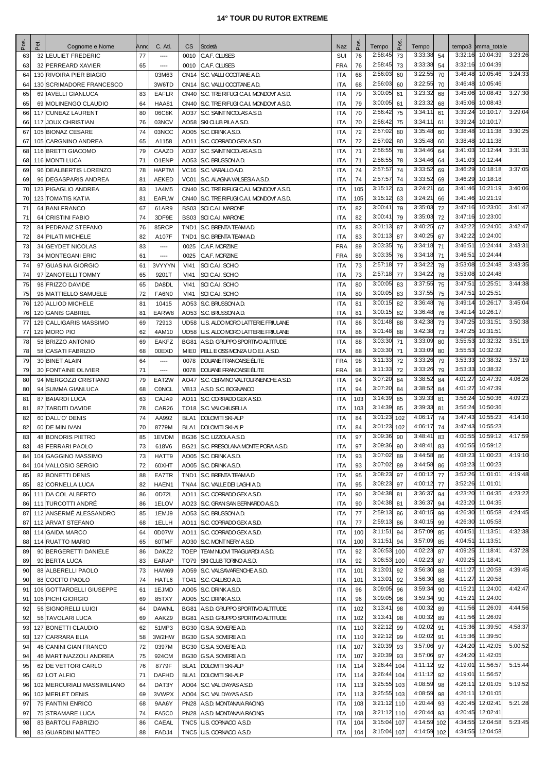| Pos      | Pet. | Cognome e Nome                          | Anno     | C. Atl.            | CS               | Società                                                                        | Naz                      | P <sub>OS</sub> | Tempo              | Pos      | Tempo              |          |                    | tempo3 bmma_totale           |         |
|----------|------|-----------------------------------------|----------|--------------------|------------------|--------------------------------------------------------------------------------|--------------------------|-----------------|--------------------|----------|--------------------|----------|--------------------|------------------------------|---------|
| 63       |      | 32 LEULIET FREDERIC                     | 77       | $---$              | 0010             | C.A.F. CLUSES                                                                  | SUI                      | 76              | 2:58:45            | 73       | 3:33:38            | 54       | 3:32:16            | 10:04:39                     | 3:23:26 |
| 63       |      | 32 PERREARD XAVIER                      | 65       | $^{***}$           | 0010             | C.A.F. CLUSES                                                                  | <b>FRA</b>               | 76              | 2:58:45            | 73       | 3:33:38            | 54       | 3:32:16            | 10:04:39                     |         |
| 64       |      | 130 RIVOIRA PIER BIAGIO                 |          | 03M63              |                  | CN14 S.C. VALLI OCCITANE A.D.                                                  | <b>ITA</b>               | 68              | 2:56:03            | 60       | 3:22:55            | 70       | 3:46:48            | 10:05:46                     | 3:24:33 |
| 64       |      | 130 SCRIMADORE FRANCESCO                |          | 3W6TD              |                  | CN14 S.C. VALLI OCCITANE A.D.                                                  | <b>ITA</b>               | 68              | 2:56:03            | 60       | 3:22:55            | 70       | 3:46:48            | 10:05:46                     |         |
| 65       |      | 69 IAVELLI GIANLUCA                     | 83       | EAFLR              |                  | CN40 S.C. TRE RIFUGI C.A.I. MONDOVI' A.S.D.                                    | <b>ITA</b>               | 79              | 3:00:05            | 61       | 3:23:32            | 68       | 3:45:06            | 10:08:43                     | 3:27:30 |
| 65       |      | 69 MOLINENGO CLAUDIO                    | 64       | <b>HAA81</b>       |                  | CN40 S.C. TRE RIFUGI C.A.I. MONDOVI' A.S.D.                                    | <b>ITA</b>               | 79              | 3:00:05<br>2:56:42 | 61       | 3:23:32<br>3:34:11 | 68       | 3:45:06<br>3:39:24 | 10:08:43<br>10:10:17         | 3:29:04 |
| 66       |      | 117 CUNEAZ LAURENT                      | 80<br>76 | 06C8K<br>03NCV     |                  | AO37 S.C. SAINT NICOLAS A.S.D.                                                 | <b>ITA</b><br><b>ITA</b> | 70<br>70        | 2:56:42            | 75<br>75 | 3:34:11            | 61<br>61 | 3:39:24            | 10:10:17                     |         |
| 66<br>67 |      | 117 JOUX CHRISTIAN<br>105 BIONAZ CESARE | 74       | 03NCC              |                  | AO58 SKI CLUB PILA A.S.D.<br>AO05 S.C. DRINK A.S.D.                            | <b>ITA</b>               | 72              | 2:57:02            | 80       | 3:35:48            | 60       | 3:38:48            | 10:11:38                     | 3:30:25 |
| 67       |      | 105 CARGNINO ANDREA                     | 65       | A1158              |                  | AO11 S.C. CORRADO GEX A.S.D.                                                   | <b>ITA</b>               | 72              | 2:57:02            | 80       | 3:35:48            | 60       | 3:38:48            | 10:11:38                     |         |
| 68       |      | 116 BRETTI GIACOMO                      | 79       | CAAZD              |                  | AO37 S.C. SAINT NICOLAS A.S.D.                                                 | <b>ITA</b>               | 71              | 2:56:55            | 78       | 3:34:46            | 64       | 3:41:03            | 10:12:44                     | 3:31:31 |
| 68       |      | 116 MONTI LUCA                          | 71       | O1ENP              |                  | AO53 S.C. BRUSSON A.D.                                                         | <b>ITA</b>               | 71              | 2:56:55            | 78       | 3:34:46            | 64       | 3:41:03            | 10:12:44                     |         |
| 69       |      | 96 DEALBERTIS LORENZO                   | 78       | <b>HAPTM</b>       |                  | VC16 S.C. VARALLO A.D.                                                         | <b>ITA</b>               | 74              | 2:57:57            | 74       | 3:33:52            | 69       | 3:46:29            | 10:18:18                     | 3:37:05 |
| 69       |      | 96 DEGASPARIS ANDREA                    | 81       | AEKED              |                  | VC01 S.C. ALAGNA VALSESIA A.S.D.                                               | <b>ITA</b>               | 74              | 2:57:57            | 74       | 3:33:52            | 69       | 3:46:29            | 10:18:18                     |         |
| 70       |      | 123 PIGAGLIO ANDREA                     | 83       | 1A4M5              |                  | CN40 S.C. TRE RIFUGI C.A.I. MONDOVI' A.S.D.                                    | <b>ITA</b>               | 105             | 3:15:12            | 63       | 3:24:21            | 66       | 3:41:46            | 10:21:19                     | 3:40:06 |
| 70       |      | <b>123 TOMATIS KATIA</b>                | 81       | <b>EAFLW</b>       |                  | CN40 S.C. TRE RIFUGI C.A.I. MONDOVI' A.S.D.                                    | <b>ITA</b>               | 105             | 3:15:12            | 63       | 3:24:21            | 66       | 3:41:46            | 10:21:19                     |         |
| 71       |      | 64 BANI FRANCO                          | 67       | 61AR9              |                  | <b>BS03 SCI C.A.I. MARONE</b>                                                  | <b>ITA</b>               | 82              | 3:00:41            | 79       | 3:35:03            | 72       | 3:47:16            | 10:23:00                     | 3:41:47 |
| 71       |      | 64 CRISTINI FABIO                       | 74       | 3DF9E              |                  | <b>BS03 SCI C.A.I. MARONE</b>                                                  | ITA                      | 82              | 3:00:41            | 79       | 3:35:03            | 72       | 3:47:16            | 10:23:00                     |         |
| 72       |      | 84 PEDRANZ STEFANO                      | 76       | 85RCP              |                  | TND1 S.C. BRENTA TEAM A.D.                                                     | <b>ITA</b>               | 83              | 3:01:13            | 87       | 3:40:25            | 67       | 3:42:22            | 10:24:00                     | 3:42:47 |
| 72       |      | 84 PILATI MICHELE                       | 82       | A107F              | TND <sub>1</sub> | S.C. BRENTA TEAM A.D.                                                          | <b>ITA</b>               | 83              | 3:01:13            | 87       | 3:40:25            | 67       | 3:42:22            | 10:24:00<br>10:24:44         | 3:43:31 |
| 73       |      | 34 GEYDET NICOLAS                       | 83       | $\cdots$           | 0025             | C.A.F. MORZINE                                                                 | <b>FRA</b>               | 89              | 3:03:35<br>3:03:35 | 76       | 3:34:18<br>3:34:18 | 71       | 3:46:51<br>3:46:51 | 10:24:44                     |         |
| 73<br>74 |      | 34 MONTEGANI ERIC<br>97 GUASINA GIORGIO | 61<br>61 | $\cdots$<br>3VYYYN | 0025<br>VI41     | C.A.F. MORZINE<br><b>SCI C.A.I. SCHIO</b>                                      | <b>FRA</b><br><b>ITA</b> | 89<br>73        | 2:57:18            | 76<br>77 | 3:34:22            | 71<br>78 | 3:53:08            | 10:24:48                     | 3:43:35 |
| 74       |      | 97 ZANOTELLI TOMMY                      | 65       | 9201T              | <b>VI41</b>      | SCI C.A.I. SCHIO                                                               | <b>ITA</b>               | 73              | 2:57:18            | 77       | 3:34:22            | 78       | 3:53:08            | 10:24:48                     |         |
| 75       |      | 98 FRIZZO DAVIDE                        | 65       | DA8DL              | VI41             | SCI C.A.I. SCHIO                                                               | <b>ITA</b>               | 80              | 3:00:05            | 83       | 3:37:55            | 75       | 3:47:51            | 10:25:51                     | 3:44:38 |
| 75       |      | 98 MATTIELLO SAMUELE                    | 72       | FA6N0              | VI41             | <b>SCI C.A.I. SCHIO</b>                                                        | <b>ITA</b>               | 80              | 3:00:05            | 83       | 3:37:55            | 75       | 3:47:51            | 10:25:51                     |         |
| 76       |      | 120 ALLIOD MICHELE                      | 81       | 10415              |                  | AO53 S.C. BRUSSON A.D.                                                         | <b>ITA</b>               | 81              | 3:00:15            | 82       | 3:36:48            | 76       | 3:49:14            | 10:26:17                     | 3:45:04 |
| 76       |      | 120 GANIS GABRIEL                       | 81       | EARW8              | AO53             | S.C. BRUSSON A.D.                                                              | <b>ITA</b>               | 81              | 3:00:15            | 82       | 3:36:48            | 76       | 3:49:14            | 10:26:17                     |         |
| 77       |      | 129 CALLIGARIS MASSIMO                  | 69       | 72913              |                  | UD58 U.S. ALDO MORO LATTERIE FRIULANE                                          | <b>ITA</b>               | 86              | 3:01:48            | 88       | 3:42:38            | 73       | 3:47:25            | 10:31:51                     | 3:50:38 |
| 77       |      | 129 MORO PIO                            | 62       | 4AM10              |                  | UD58 U.S. ALDO MORO LATTERIE FRIULANE                                          | <b>ITA</b>               | 86              | 3:01:48            | 88       | 3:42:38            | 73       | 3:47:25            | 10:31:51                     |         |
| 78       |      | 58 BRIZZO ANTONIO                       | 69       | <b>EAKFZ</b>       |                  | BG81 A.S.D. GRUPPO SPORTIVO ALTITUDE                                           | <b>ITA</b>               | 88              | 3:03:30            | 71       | 3:33:09            | 80       | 3:55:53            | 10:32:32                     | 3:51:19 |
| 78       |      | 58 CASATI FABRIZIO                      | 68       | 00EXD              | MIEO             | PELL E OSS MONZA U.O.E.I. A.S.D.                                               | ITA                      | 88              | 3:03:30            | 71       | 3:33:09            | 80       | 3:55:53            | 10:32:32                     |         |
| 79       |      | 30 BINET ALAIN                          | 64       | ----               | 0078             | DOUANE FRANCAISE ÉLITE                                                         | <b>FRA</b>               | 98              | 3:11:33            | 72       | 3:33:26            | 79       | 3:53:33            | 10:38:32                     | 3:57:19 |
| 79       |      | 30 FONTAINE OLIVIER                     | 71       | ----               | 0078             | DOUANE FRANCAISE ÉLITE                                                         | <b>FRA</b>               | 98              | 3:11:33            | 72       | 3:33:26            | 79       | 3:53:33            | 10:38:32                     |         |
| 80       |      | 94 MERGOZZI CRISTIANO                   | 79       | EAT2W              |                  | AO47 S.C. CERVINO VALTOURNENCHE A.S.D.                                         | <b>ITA</b>               | 94              | 3:07:20            | 84       | 3:38:52            | 84       | 4:01:27            | 10:47:39                     | 4:06:26 |
| 80       |      | 94 SUMMA GIANLUCA                       | 68       | <b>CONCL</b>       |                  | VB13 A.S.D. S.C. BOGNANCO                                                      | <b>ITA</b>               | 94              | 3:07:20            | 84       | 3:38:52            | 84       | 4:01:27            | 10:47:39                     |         |
| 81       |      | 87 BAIARDI LUCA                         | 63       | CAJA9              |                  | AO11 S.C. CORRADO GEX A.S.D.                                                   | <b>ITA</b>               | 103             | 3:14:39            | 85       | 3:39:33            | 81       | 3:56:24            | 10:50:36                     | 4:09:23 |
| 81       |      | 87 TARDITI DAVIDE                       | 78       | CAR <sub>26</sub>  |                  | TO18 S.C. VALCHIUSELLA                                                         | <b>ITA</b>               | 103             | 3:14:39            | 85       | 3:39:33            | 81       | 3:56:24            | 10:50:36                     |         |
| 82       |      | 60 DALL'O' DENIS                        | 74       | AA992              | BLA1             | <b>DOLOMITI SKI-ALP</b>                                                        | <b>ITA</b>               | 84              | 3:01:23            | 102      | 4:06:17            | 74       | 3:47:43            | 10:55:23                     | 4:14:10 |
| 82       |      | 60 DE MIN IVAN                          | 70       | 8779M              | BLA1             | <b>DOLOMITI SKI-ALP</b>                                                        | <b>ITA</b>               | 84              | 3:01:23            | 102      | 4:06:17<br>3:48:41 | 74       | 3:47:43<br>4:00:55 | 10:55:23<br>10:59:12         | 4:17:59 |
| 83<br>83 |      | 48 BONORIS PIETRO                       | 85<br>73 | 1EVDM              |                  | BG36 S.C. LIZZOLA A.S.D.                                                       | <b>ITA</b>               | 97<br>97        | 3:09:36<br>3:09:36 | 90<br>90 | 3:48:41            | 83       |                    | 4:00:55 10:59:12             |         |
| 84       |      | 48 FERRARI PAOLO<br>104 GAGGINO MASSIMO | 73       | 618V6<br>HATT9     |                  | BG21 S.C. PRESOLANA MONTE PORA A.S.D.<br>AO05 S.C. DRINK A.S.D.                | <b>ITA</b><br>ITA        | 93              | 3:07:02            | 89       | 3:44:58            | 83<br>86 | 4:08:23            | 11:00:23                     | 4:19:10 |
| 84       |      | 104 VALLOSIO SERGIO                     | 72       | 60XHT              |                  | AO05 S.C. DRINK A.S.D.                                                         | <b>ITA</b>               | 93              | 3:07:02            | 89       | 3:44:58            | 86       | 4:08:23            | 11:00:23                     |         |
| 85       |      | 82 BONETTI DENIS                        | 88       | EA7TR              |                  | TND1 S.C. BRENTA TEAM A.D.                                                     | ITA                      | 95              | 3:08:23            | 97       | 4:00:12            | 77       | 3:52:26            | 11:01:01                     | 4:19:48 |
| 85       |      | 82 CORNELLA LUCA                        | 82       | HAEN1              |                  | TNA4 S.C. VALLE DEI LAGHI A.D.                                                 | <b>ITA</b>               | 95              | 3:08:23            | 97       | 4:00:12            | 77       | 3:52:26            | 11:01:01                     |         |
| 86       |      | 111 DA COL ALBERTO                      | 86       | 0D72L              |                  | AO11 S.C. CORRADO GEX A.S.D.                                                   | <b>ITA</b>               | 90              | 3:04:38            | 81       | 3:36:37            | 94       | 4:23:20            | 11:04:35                     | 4:23:22 |
| 86       |      | 111 TURCOTTI ANDRÉ                      | 86       | 1ELOV              |                  | AO23 S.C. GRAN SAN BERNARDO A.S.D.                                             | ITA                      | 90              | 3:04:38            | 81       | 3:36:37            | 94       | 4:23:20            | 11:04:35                     |         |
| 87       |      | 112 ANSERMÉ ALESSANDRO                  | 85       | 1EMJ9              |                  | AO53 S.C. BRUSSON A.D.                                                         | <b>ITA</b>               | 77              | 2:59:13            | 86       | 3:40:15            | 99       | 4:26:30            | 11:05:58                     | 4:24:45 |
| 87       |      | 112 ARVAT STEFANO                       | 68       | 1ELLH              |                  | AO11 S.C. CORRADO GEX A.S.D.                                                   | ITA                      | 77              | 2:59:13            | 86       | 3:40:15            | 99       | 4:26:30            | 11:05:58                     |         |
| 88       |      | 114 GAIDA MARCO                         | 64       | 0D07W              |                  | AO11 S.C. CORRADO GEX A.S.D.                                                   | ITA                      | 100             | 3:11:51            | 94       | 3:57:09            | 85       | 4:04:51            | 11:13:51                     | 4:32:38 |
| 88       |      | 114 RUATTO MARIO                        | 65       | 60TMF              |                  | AO30 S.C. MONT NERY A.S.D.                                                     | ITA                      | 100             | 3:11:51            | 94       | 3:57:09            | 85       | 4:04:51            | 11:13:51                     |         |
| 89       |      | 90 BERGERETTI DANIELE                   | 86       | DAKZ2              |                  | TOEP   TEAM NUOVI TRAGUARDI A.S.D.                                             | <b>ITA</b>               | 92              | 3:06:53            | 100      | 4:02:23            | 87       | 4:09:25            | 11:18:41                     | 4:37:28 |
| 89       |      | 90 BERTA LUCA                           | 83       | EARAP              |                  | TO79 SKI CLUB TORINO A.S.D.                                                    | <b>ITA</b>               | 92              | 3:06:53            | 100      | 4:02:23            | 87       | 4:09:25            | 11:18:41                     |         |
| 90       |      | 88 ALBERELLI PAOLO                      | 73       | HAM69              |                  | AO59 S.C. VALSAVARENCHE A.S.D.                                                 | <b>ITA</b>               | 101             | 3:13:01            | 92       | 3:56:30            | 88       | 4:11:27            | 11:20:58                     | 4:39:45 |
| 90       |      | 88 COCITO PAOLO                         | 74       | HATL6              |                  | TO41 S.C. CALUSO A.D.                                                          | ITA                      | 101             | 3:13:01            | 92       | 3:56:30            | 88       | 4:11:27            | 11:20:58                     | 4:42:47 |
| 91       |      | 106 GOTTARDELLI GIUSEPPE                | 61       | 1EJMD              |                  | AO05 S.C. DRINK A.S.D.                                                         | ITA                      | 96              | 3:09:05            | 96       | 3:59:34            | 90       | 4:15:21            | 11:24:00                     |         |
| 91       |      | 106 PICHI GIORGIO                       | 69       | 85TXY              |                  | AO05 S.C. DRINK A.S.D.                                                         | ITA                      | 96<br>102       | 3:09:05<br>3:13:41 | 96<br>98 | 3:59:34<br>4:00:32 | 90<br>89 | 4:11:56            | 4:15:21 11:24:00<br>11:26:09 | 4:44:56 |
| 92       |      | 56 SIGNORELLI LUIGI                     | 64       | <b>DAWNL</b>       |                  | BG81   A.S.D. GRUPPO SPORTIVO ALTITUDE<br>BG81 A.S.D. GRUPPO SPORTIVO ALTITUDE | ITA<br><b>ITA</b>        | 102             | 3:13:41            | 98       | 4:00:32            | 89       | 4:11:56            | 11:26:09                     |         |
| 92       |      | 56 TAVOLARI LUCA<br>127 BONETTI CLAUDIO | 69       | AAKZ9<br>51MP3     |                  |                                                                                | <b>ITA</b>               | 110             | 3:22:12            | 99       | 4:02:02            | 91       | 4:15:36            | 11:39:50                     | 4:58:37 |
| 93<br>93 |      | 127 CARRARA ELIA                        | 62<br>58 | 3W2HW              |                  | BG30 G.S.A. SOVERE A.D.<br>BG30 G.S.A. SOVERE A.D.                             | ITA                      | 110             | 3:22:12            | 99       | 4:02:02            | 91       |                    | 4:15:36 11:39:50             |         |
| 94       |      | 46 CANINI GIAN FRANCO                   | 72       | 0397M              |                  | BG30 G.S.A. SOVERE A.D.                                                        | ITA                      | 107             | 3:20:39            | 93       | 3:57:06            | 97       | 4:24:20            | 11:42:05                     | 5:00:52 |
| 94       |      | 46 MARTINAZZOLI ANDREA                  | 75       | 924CM              |                  | BG30 G.S.A. SOVERE A.D.                                                        | ITA                      | 107             | 3:20:39            | 93       | 3:57:06            | 97       | 4:24:20            | 11:42:05                     |         |
| 95       |      | 62 DE VETTORI CARLO                     | 76       | 8779F              | BLA1             | DOLOMITI SKI-ALP                                                               | ITA                      | 114             | 3:26:44            | 104      | 4:11:12            | 92       | 4:19:01            | 11:56:57                     | 5:15:44 |
| 95       |      | 62 LOT ALFIO                            | 71       | <b>DAFHD</b>       |                  | <b>BLA1 DOLOMITI SKI-ALP</b>                                                   | ITA                      | 114             | 3:26:44            | 104      | 4:11:12            | 92       |                    | 4:19:01 11:56:57             |         |
| 96       |      | 102 MERCURIALI MASSIMILIANO             | 64       | DAT3Y              |                  | AO04 S.C. VAL D'AYAS A.S.D.                                                    | ITA                      | 113             | 3:25:55            | 103      | 4:08:59            | 98       | 4:26:11            | 12:01:05                     | 5:19:52 |
| 96       |      | 102 MERLET DENIS                        | 69       | 3VWPX              |                  | AO04 S.C. VAL D'AYAS A.S.D.                                                    | <b>ITA</b>               | 113             | 3:25:55            | 103      | 4:08:59            | 98       | 4:26:11            | 12:01:05                     |         |
| 97       |      | 75 FANTINI ENRICO                       | 68       | 9AA6Y              |                  | PN28 A.S.D. MONTANAIA RACING                                                   | <b>ITA</b>               | 108             | 3:21:12            | 110      | 4:20:44            | 93       | 4:20:45            | 12:02:41                     | 5:21:28 |
| 97       |      | 75 STRAMARE LUCA                        | 74       | FA5C0              |                  | PN28 A.S.D. MONTANAIA RACING                                                   | ITA                      | 108             | 3:21:12            | 110      | 4:20:44            | 93       | 4:20:45            | 12:02:41                     |         |
| 98       |      | 83 BARTOLI FABRIZIO                     | 86       | CAEAL              |                  | TNC5 U.S. CORNACCI A.S.D.                                                      | ITA                      | 104             | 3:15:04            | 107      | 4:14:59            | 102      | 4:34:55            | 12:04:58                     | 5:23:45 |
| 98       |      | 83 GUARDINI MATTEO                      | 88       | FADJ4              |                  | TNC5 U.S. CORNACCI A.S.D.                                                      | ITA                      | 104             | 3:15:04 107        |          | 4:14:59 102        |          |                    | 4:34:55 12:04:58             |         |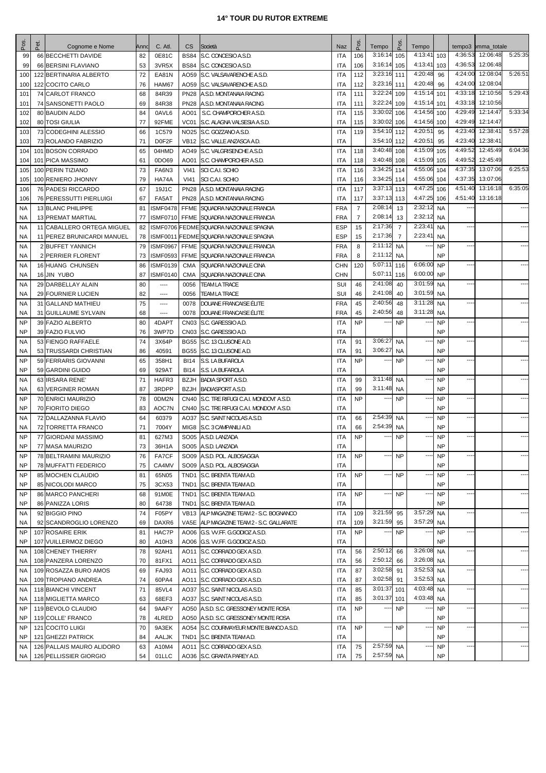| Pos                    | Pet. | Cognome e Nome                                 | Anno     | C. Atl.          | CS.          | Società                                                                 | Naz                      | Pos             | Tempo                  | P <sub>os</sub>  | Tempo                    |                        |                    | tempo3 pmma_totale   |         |
|------------------------|------|------------------------------------------------|----------|------------------|--------------|-------------------------------------------------------------------------|--------------------------|-----------------|------------------------|------------------|--------------------------|------------------------|--------------------|----------------------|---------|
| 99                     |      | 66 BECCHETTI DAVIDE                            | 82       | 0E81C            | <b>BS84</b>  | S.C. CONCESIO A.S.D.                                                    | <b>ITA</b>               | 106             | 3:16:14                | 105              | 4:13:41                  | 103                    | 4:36:53            | 12:06:48             | 5:25:35 |
| 99                     |      | 66 BERSINI FLAVIANO                            | 53       | 3VR5X            |              | BS84 S.C. CONCESIO A.S.D.                                               | <b>ITA</b>               | 106             | 3:16:14                | 105              | 4:13:41                  | 103                    | 4:36:53            | 12:06:48             |         |
| 100                    |      | 122 BERTINARIA ALBERTO                         | 72       | EA81N            |              | AO59 S.C. VALSAVARENCHE A.S.D.                                          | <b>ITA</b>               | 112             | $3:23:16$ 111          |                  | 4:20:48                  | 96                     | 4:24:00            | 12:08:04             | 5:26:51 |
| 100                    |      | 122 COCITO CARLO                               | 76       | HAM67            |              | AO59 S.C. VALSAVARENCHE A.S.D.                                          | <b>ITA</b>               | 112             | 3:23:16 111            |                  | 4:20:48                  | 96                     | 4:24:00            | 12:08:04             |         |
| 101                    |      | 74 CARLOT FRANCO                               | 68       | 84R39            |              | PN28 A.S.D. MONTANAIA RACING                                            | <b>ITA</b>               | 111             | 3:22:2                 | 109              | 4:15:14                  | 101                    | 4:33:18            | 12:10:56             | 5:29:43 |
| 101                    |      | 74 SANSONETTI PAOLO                            | 69       | 84R38            |              | <b>PN28   A.S.D. MONTANAIA RACING</b>                                   | <b>ITA</b>               | 111             | 3:22:24                | 109              | 4:15:14                  | 101                    | 4:33:18            | 12:10:56             |         |
| 102                    |      | 80 BAUDIN ALDO                                 | 84       | 0AVL6            |              | AO01   S.C. CHAMPORCHER A.S.D.                                          | <b>ITA</b>               | 115             | 3:30:02                | 106              | 4:14:56                  | 100                    | 4:29:49            | 12:14:47             | 5:33:34 |
| 102                    |      | 80 TOSI GIULIA                                 | 77       | 92FME            | VC01         | S.C. ALAGNA VALSESIA A.S.D.                                             | <b>ITA</b>               | 115             | 3:30:02                | 106              | 4:14:56                  | 100                    | 4:29:49            | 12:14:47             |         |
| 103                    |      | 73 CODEGHINI ALESSIO                           | 66       | 1C579            |              | NO25 S.C. GOZZANO A.S.D.                                                | <b>ITA</b>               | 119             | 3:54:10                | 112              | 4:20:51                  | 95                     | 4:23:40            | 12:38:41             | 5:57:28 |
| 103                    |      | 73 ROLANDO FABRIZIO<br>101 BOSON CORRADO       | 71       | D0F2F            |              | VB12 S.C. VALLE ANZASCA A.D.                                            | <b>ITA</b>               |                 | 3:54:10 112<br>3:40:48 |                  | 4:20:51<br>4:15:09       | 95<br>105              | 4:23:40<br>4:49:52 | 12:38:41<br>12:45:49 | 6:04:36 |
| 104<br>104             |      | 101 PICA MASSIMO                               | 65<br>61 | 04HMD<br>0DO69   | AO01         | AO49 S.C. VALGRISENCHE A.S.D.<br>S.C. CHAMPORCHER A.S.D.                | <b>ITA</b><br><b>ITA</b> | 118<br>118      | 3:40:48                | 108<br>108       | 4:15:09                  | 105                    | 4:49:52            | 12:45:49             |         |
| 105                    |      | 100 PERIN TIZIANO                              | 73       | FA6N3            | VI41         | SCI C.A.I. SCHIO                                                        | <b>ITA</b>               | 116             | 3:34:25                | 114              | 4:55:06                  | 104                    | 4:37:35            | 13:07:06             | 6:25:53 |
| 105                    |      | 100 RENIERO JHONNY                             | 79       | HA74A            | <b>VI41</b>  | SCI C.A.I. SCHIO                                                        | <b>ITA</b>               | 116             | 3:34:25 114            |                  | 4:55:06                  | 104                    | 4:37:35            | 13:07:06             |         |
| 106                    |      | 76 PADESI RICCARDO                             | 67       | 19J1C            |              | PN28 A.S.D. MONTANAIA RACING                                            | <b>ITA</b>               | 117             | 3:37:13                | 113              | 4:47:25                  | 106                    | 4:51:40            | 13:16:18             | 6:35:05 |
| 106                    |      | 76 PERESSUTTI PIERLUIGI                        | 67       | FA5AT            |              | <b>PN28   A.S.D. MONTANAIA RACING</b>                                   | <b>ITA</b>               | 117             | 3:37:13                | 113              | 4:47:25                  | 106                    | 4:51:40            | 13:16:18             |         |
| <b>NA</b>              |      | 13 BLANC PHILIPPE                              | 81       | <b>ISMF0478</b>  |              | FFME SQUADRA NAZIONALE FRANCIA                                          | <b>FRA</b>               | $\overline{7}$  | 2:08:14                | 13               | 2:32:12                  | <b>NA</b>              |                    |                      |         |
| NA.                    |      | 13 PREMAT MARTIAL                              | 77       |                  |              | ISMF0710 FFME SQUADRA NAZIONALE FRANCIA                                 | <b>FRA</b>               | $\overline{7}$  | 2:08:14                | 13               | 2:32:12                  | <b>NA</b>              |                    |                      |         |
| <b>NA</b>              |      | 11 CABALLERO ORTEGA MIGUEL                     | 82       |                  |              | ISMF0706 FEDME SQUADRA NAZIONALE SPAGNA                                 | <b>ESP</b>               | 15              | 2:17:36                | $\overline{7}$   | 2:23:41                  | <b>NA</b>              | ---                |                      |         |
| NA                     |      | 11 PEREZ BRUNICARDI MANUEL                     | 78       |                  |              | ISMF0011 FEDME SQUADRA NAZIONALE SPAGNA                                 | <b>ESP</b>               | 15              | 2:17:36                | $\overline{7}$   | 2:23:41                  | <b>NA</b>              |                    |                      |         |
| <b>NA</b>              |      | 2 BUFFET YANNICH                               | 79       | <b>ISMF0967</b>  |              | FFME SQUADRA NAZIONALE FRANCIA                                          | <b>FRA</b>               | 8               | 2:11:12                | <b>NA</b>        | --                       | <b>NP</b>              | ---                |                      |         |
| NA                     |      | 2 PERRIER FLORENT                              | 73       | <b>ISMF0593</b>  | FFME         | SQUADRA NAZIONALE FRANCIA                                               | <b>FRA</b>               | 8               | 2:11:12                | <b>NA</b>        |                          | <b>NP</b>              |                    |                      |         |
| NA                     |      | 16 HUANG CHUNSEN                               | 86       | <b>ISMF0139</b>  | <b>CMA</b>   | SQUADRA NAZIONALE CINA                                                  | <b>CHN</b>               | 120             | 5:07:11                | 116              | 6:06:00                  | <b>NP</b>              | ---                |                      |         |
| NA                     |      | 16 JIN YUBO                                    | 87       | <b>ISMF0140</b>  | CMA          | SQUADRA NAZIONALE CINA                                                  | <b>CHN</b>               |                 | 5:07:11                | 116              | 6:00:00<br>3:01:59       | <b>NP</b>              |                    |                      |         |
| <b>NA</b>              |      | 29 DARBELLAY ALAIN                             | 80       | $\cdots$         | 0056         | <b>TEAM LA TRACE</b>                                                    | SUI                      | 46              | 2:41:08<br>2:41:08     | 40               | 3:01:59                  | <b>NA</b>              | ----               |                      |         |
| NA<br><b>NA</b>        |      | 29 FOURNIER LUCIEN<br>31 GALLAND MATHIEU       | 82<br>75 | ----<br>$\cdots$ | 0056<br>0078 | <b>TEAM LA TRACE</b><br>DOUANE FRANCAISE ÉLITE                          | SUI<br><b>FRA</b>        | 46<br>45        | 2:40:56                | 40<br>48         | 3:11:28                  | <b>NA</b><br><b>NA</b> | ----               |                      |         |
| NA                     |      | 31 GUILLAUME SYLVAIN                           | 68       | ----             | 0078         | DOUANE FRANCAISE ÉLITE                                                  | <b>FRA</b>               | 45              | 2:40:56                | 48               | 3:11:28                  | <b>NA</b>              |                    |                      |         |
| <b>NP</b>              |      | 39 FAZIO ALBERTO                               | 80       | 4DAPT            |              | CN03 S.C. GARESSIO A.D.                                                 | <b>ITA</b>               | <b>NP</b>       |                        | <b>NP</b>        |                          | <b>NP</b>              | ---                |                      |         |
| <b>NP</b>              |      | 39 FAZIO FULVIO                                | 76       | 3WP7D            |              | CN03 S.C. GARESSIO A.D.                                                 | <b>ITA</b>               |                 |                        |                  |                          | <b>NP</b>              |                    |                      |         |
| <b>NA</b>              |      | 53 FIENGO RAFFAELE                             | 74       | 3X64P            |              | BG55 S.C. 13 CLUSONE A.D.                                               | <b>ITA</b>               | 91              | 3:06:2                 | <b>NA</b>        |                          | <b>NP</b>              | ---                |                      |         |
| NA                     |      | 53 TRUSSARDI CHRISTIAN                         | 86       | 40591            |              | BG55 S.C. 13 CLUSONE A.D.                                               | <b>ITA</b>               | 91              | 3:06:27                | NA               |                          | <b>NP</b>              |                    |                      |         |
| <b>NP</b>              |      | 59 FERRARIS GIOVANNI                           | 65       | 358H1            |              | BI14 S.S. LA BUFAROLA                                                   | <b>ITA</b>               | <b>NP</b>       |                        | <b>NP</b>        |                          | <b>NP</b>              | ---                |                      |         |
| NP                     |      | 59 GARDINI GUIDO                               | 69       | 929AT            | BI14         | S.S. LA BUFAROLA                                                        | <b>ITA</b>               |                 |                        |                  |                          | <b>NP</b>              |                    |                      |         |
| <b>NA</b>              |      | 63 IRSARA RENE'                                | 71       | HAFR3            |              | <b>BZJH BADIA SPORT A.S.D.</b>                                          | <b>ITA</b>               | 99              | 3:11:48                | <b>NA</b>        |                          | <b>NP</b>              | ---                |                      |         |
| NA                     |      | 63 VERGINER ROMAN                              | 87       | 3RDPP            |              | <b>BZJH BADIASPORT A.S.D.</b>                                           | <b>ITA</b>               | 99              | 3:11:48                | NA               |                          | <b>NP</b>              |                    |                      |         |
| <b>NP</b>              |      | 70 ENRICI MAURIZIO                             | 78       | 0DM2N            |              | CN40 S.C. TRE RIFUGI C.A.I. MONDOVI' A.S.D.                             | <b>ITA</b>               | <b>NP</b>       |                        | <b>NP</b>        |                          | <b>NP</b>              | ----               |                      |         |
| <b>NP</b>              |      | 70 FIORITO DIEGO                               | 83       | AOC7N            |              | CN40 S.C. TRE RIFUGI C.A.I. MONDOVI' A.S.D.                             | <b>ITA</b>               |                 |                        |                  |                          | <b>NP</b>              |                    |                      |         |
| <b>NA</b>              |      | 72 DALLAZANNA FLAVIO                           | 64       | 60379            |              | AO37 S.C. SAINT NICOLAS A.S.D.                                          | <b>ITA</b>               | 66              | 2:54:39                | <b>NA</b>        |                          | <b>NP</b>              | ---                |                      |         |
| NA.                    |      | 72 TORRETTA FRANCO                             | 71       | 7004Y            |              | MIG8 S.C. 3 CAMPANILI A.D.                                              | <b>ITA</b>               | 66              | 2:54:39                | <b>NA</b>        |                          | <b>NP</b>              |                    |                      |         |
| <b>NP</b>              |      | 77 GIORDANI MASSIMO                            | 81       | 627M3            |              | SO05 A.S.D. LANZADA                                                     | <b>ITA</b>               | <b>NP</b>       |                        | <b>NP</b>        |                          | <b>NP</b>              | ----               |                      |         |
| <b>NP</b><br><b>NP</b> |      | 77 MASA MAURIZIO                               | 73       | 36H1A            |              | SO05 A.S.D. LANZADA                                                     | <b>ITA</b><br><b>ITA</b> | <b>NP</b>       |                        | <b>NP</b>        |                          | NP<br><b>NP</b>        | ---                |                      |         |
| <b>NP</b>              |      | 78 BELTRAMINI MAURIZIO<br>78 MUFFATTI FEDERICO | 76<br>75 | FA7CF<br>CA4MV   |              | SO09 A.S.D. POL. ALBOSAGGIA<br>SO09 A.S.D. POL. ALBOSAGGIA              | <b>ITA</b>               |                 |                        |                  |                          | <b>NP</b>              |                    |                      |         |
| <b>NP</b>              |      | 85 MOCHEN CLAUDIO                              | 81       | 65N05            |              | TND1 S.C. BRENTA TEAM A.D.                                              | <b>ITA</b>               | <b>NP</b>       |                        | <b>NP</b>        |                          | <b>NP</b>              | ---                |                      |         |
| NP                     |      | 85 NICOLODI MARCO                              | 75       | 3CX53            | TND1         | S.C. BRENTA TEAM A.D.                                                   | <b>ITA</b>               |                 |                        |                  |                          | <b>NP</b>              |                    |                      |         |
| <b>NP</b>              |      | 86 MARCO PANCHERI                              | 68       | 91M0E            |              | TND1 S.C. BRENTA TEAM A.D.                                              | <b>ITA</b>               | NP              |                        | <b>NP</b>        |                          | <b>NP</b>              | ---                |                      | ----    |
| NP                     |      | 86 PANIZZA LORIS                               | 80       | 64738            |              | TND1 S.C. BRENTA TEAM A.D.                                              | <b>ITA</b>               |                 |                        |                  |                          | <b>NP</b>              |                    |                      |         |
| NA                     |      | 92 BIGGIO PINO                                 | 74       | F05PY            |              | VB13 ALP MAGAZINE TEAM 2 - S.C. BOGNANCO                                | <b>ITA</b>               | 109             | 3:21:59                | 95               | 3:57:29                  | <b>NA</b>              | ---                |                      | ----    |
| NA.                    |      | 92 SCANDROGLIO LORENZO                         | 69       | DAXR6            |              | VA5E   ALP MAGAZINE TEAM 2 - S.C. GALLARATE                             | <b>ITA</b>               | 109             | 3:21:59                | 95               | 3:57:29                  | <b>NA</b>              |                    |                      |         |
| <b>NP</b>              |      | 107 ROSAIRE ERIK                               | 81       | HAC7P            |              | AO06 G.S. VV.FF. G.GODIOZ A.S.D.                                        | <b>ITA</b>               | <b>NP</b>       |                        | <b>NP</b>        |                          | <b>NP</b>              | ---                |                      | $---$   |
| NP                     |      | 107 VUILLERMOZ DIEGO                           | 80       | A10H3            |              | AO06 G.S. VV.FF. G.GODIOZ A.S.D.                                        | <b>ITA</b>               |                 |                        |                  |                          | <b>NP</b>              |                    |                      |         |
| NA                     |      | 108 CHENEY THIERRY                             | 78       | 92AH1            |              | AO11 S.C. CORRADO GEX A.S.D.                                            | <b>ITA</b>               | 56              | 2:50:12                | 66               | 3:26:08                  | <b>NA</b>              | ---                |                      |         |
| NA.                    |      | 108 PANZERA LORENZO                            | 70       | 81FX1            |              | AO11 S.C. CORRADO GEX A.S.D.                                            | <b>ITA</b>               | 56              | 2:50:12                | 66               | 3:26:08                  | <b>NA</b>              |                    |                      |         |
| NA                     |      | 109 ROSAZZA BURO AMOS                          | 69       | FAJ93            |              | AO11 S.C. CORRADO GEX A.S.D.                                            | <b>ITA</b>               | 87              | 3:02:58                | 91               | 3:52:53                  | <b>NA</b>              | ---                |                      | ----    |
| NA.                    |      | 109 TROPIANO ANDREA                            | 74       | 60PA4            |              | AO11 S.C. CORRADO GEX A.S.D.                                            | <b>ITA</b>               | 87              | 3:02:58                | 91               | 3:52:53                  | <b>NA</b>              |                    |                      |         |
| NA.                    |      | 118 BIANCHI VINCENT                            | 71       | 85VL4            |              | AO37 S.C. SAINT NICOLAS A.S.D.                                          | <b>ITA</b>               | 85              | 3:01:37                | 101              | 4:03:48<br>4:03:48       | <b>NA</b>              | ---                |                      |         |
| NA.<br>NP              |      | 118 MIGLIETTA MARCO<br>119 BEVOLO CLAUDIO      | 63       | 68EF3<br>9AAFY   |              | AO37 S.C. SAINT NICOLAS A.S.D.<br>AO50 A.S.D. S.C. GRESSONEY MONTE ROSA | <b>ITA</b><br><b>ITA</b> | 85<br><b>NP</b> | 3:01:37                | 101<br><b>NP</b> |                          | <b>NA</b><br><b>NP</b> | ---                |                      | ----    |
| NP                     |      | 119 COLLE' FRANCO                              | 64<br>78 | 4LRED            |              | AO50   A.S.D. S.C. GRESSONEY MONTE ROSA                                 | <b>ITA</b>               |                 |                        |                  |                          | <b>NP</b>              |                    |                      |         |
| <b>NP</b>              |      | 121 COCITO LUIGI                               | 70       | 9A3EK            |              | AO54 S.C. COURMAYEUR MONTE BIANCO A.S.D.                                | <b>ITA</b>               | <b>NP</b>       |                        | <b>NP</b>        | $\overline{\phantom{a}}$ | <b>NP</b>              | ---                |                      | $---$   |
| NP                     |      | 121 GHEZZI PATRICK                             | 84       | AALJK            |              | TND1 S.C. BRENTA TEAM A.D.                                              | ITA                      |                 |                        |                  |                          | <b>NP</b>              |                    |                      |         |
| NA                     |      | 126 PALLAIS MAURO ALIDORO                      | 63       | A10M4            |              | AO11 S.C. CORRADO GEX A.S.D.                                            | ITA                      | 75              | 2:57:59                | <b>NA</b>        | $\overline{a}$           | <b>NP</b>              | ----               |                      | ----    |
| NA.                    |      | 126 PELLISSIER GIORGIO                         | 54       | 01LLC            |              | AO36 S.C. GRANTA PAREY A.D.                                             | ITA                      | 75              | 2:57:59 NA             |                  |                          | <b>NP</b>              |                    |                      |         |
|                        |      |                                                |          |                  |              |                                                                         |                          |                 |                        |                  |                          |                        |                    |                      |         |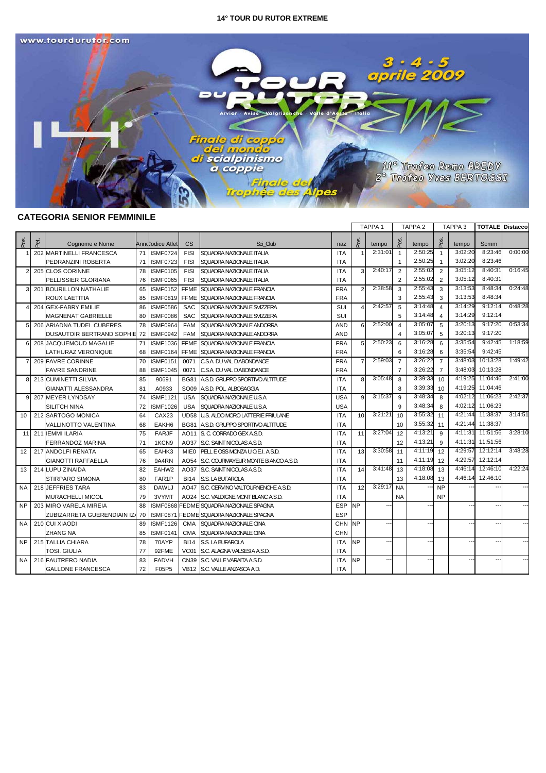

# **CATEGORIA SENIOR FEMMINILE**

|                 |      |                             |    |                   |             |                                          |            |                | TAPPA <sub>1</sub>       |                         | TAPPA <sub>2</sub> |                | TAPPA <sub>3</sub> |                  | <b>TOTALE</b> Distacco |
|-----------------|------|-----------------------------|----|-------------------|-------------|------------------------------------------|------------|----------------|--------------------------|-------------------------|--------------------|----------------|--------------------|------------------|------------------------|
| Pos             | Pet. | Cognome e Nome              |    | Annccodice Atlet  | CS          | Sci Club                                 | naz        | Pos            | tempo                    | $\frac{8}{20}$          | tempo              | δg             | tempo              | Somm             |                        |
| -1              |      | 202 MARTINELLI FRANCESCA    | 71 | <b>ISMF0724</b>   | <b>FISI</b> | SQUADRA NAZIONALE ITALIA                 | <b>ITA</b> |                | 2:31:01                  | $\mathbf{1}$            | 2:50:25            | $\overline{1}$ | 3:02:20            | 8:23:46          | 0:00:00                |
|                 |      | PEDRANZINI ROBERTA          | 71 | <b>ISMF0723</b>   | <b>FISI</b> | SQUADRA NAZIONALE ITALIA                 | <b>ITA</b> |                |                          | -1                      | 2:50:25            |                | 3:02:20            | 8:23:46          |                        |
| $\overline{2}$  |      | 205 CLOS CORINNE            | 78 | <b>ISMF0105</b>   | <b>FISI</b> | SQUADRA NAZIONALE ITALIA                 | <b>ITA</b> | $\mathcal{R}$  | 2:40:17                  | 2                       | 2:55:02            | $\overline{2}$ | 3:05:12            | 8:40:31          | 0:16:45                |
|                 |      | PELLISSIER GLORIANA         | 76 | <b>ISMF0065</b>   | <b>FISI</b> | SQUADRA NAZIONALE ITALIA                 | <b>ITA</b> |                |                          | 2                       | 2:55:02            | $\overline{2}$ | 3:05:12            | 8:40:31          |                        |
| 3               |      | 201 BOURILLON NATHALIE      | 65 | <b>ISMF0152</b>   | <b>FFME</b> | SQUADRA NAZIONALE FRANCIA                | <b>FRA</b> | $\overline{2}$ | 2:38:58                  | 3                       | 2:55:43            | 3              | 3:13:53            | 8:48:34          | 0:24:48                |
|                 |      | ROUX LAETITIA               | 85 | <b>ISMF0819</b>   | <b>FFME</b> | SQUADRA NAZIONALE FRANCIA                | <b>FRA</b> |                |                          | 3                       | 2:55:43            | 3              | 3:13:53            | 8:48:34          |                        |
| $\overline{4}$  |      | 204 GEX-FABRY EMILIE        | 86 | <b>ISMF0586</b>   | <b>SAC</b>  | SQUADRA NAZIONALE SVIZZERA               | SUI        | $\overline{4}$ | 2:42:57                  | 5                       | 3:14:48            | $\overline{4}$ | 3:14:29            | 9:12:14          | 0:48:28                |
|                 |      | MAGNENAT GABRIELLE          | 80 | <b>ISMF0086</b>   | <b>SAC</b>  | SQUADRA NAZIONALE SVIZZERA               | SUI        |                |                          | 5                       | 3:14:48            | 4              | 3:14:29            | 9:12:14          |                        |
| 5               |      | 206 ARIADNA TUDEL CUBERES   | 78 | <b>ISMF0964</b>   | <b>FAM</b>  | SQUADRA NAZIONALE ANDORRA                | <b>AND</b> | 6              | 2:52:00                  | $\overline{\mathbf{A}}$ | 3:05:07            | 5              | 3:20:13            | 9:17:20          | 0:53:34                |
|                 |      | DUSAUTOIR BERTRAND SOPHIE   | 72 | <b>ISMF0942</b>   | <b>FAM</b>  | SQUADRA NAZIONALE ANDORRA                | <b>AND</b> |                |                          | 4                       | 3:05:07            | 5              | 3:20:13            | 9:17:20          |                        |
| 6               |      | 208 JACQUEMOUD MAGALIE      | 71 | <b>ISMF1036</b>   | <b>FFME</b> | SQUADRA NAZIONALE FRANCIA                | <b>FRA</b> | 5              | 2:50:23                  | 6                       | 3:16:28            | 6              | 3:35:54            | 9:42:45          | 1:18:59                |
|                 |      | LATHURAZ VERONIQUE          | 68 | <b>ISMF0164</b>   | <b>FFME</b> | SQUADRA NAZIONALE FRANCIA                | <b>FRA</b> |                |                          | 6                       | 3:16:28            | 6              | 3:35:54            | 9:42:45          |                        |
| $\overline{7}$  |      | 209 FAVRE CORINNE           | 70 | <b>ISMF0151</b>   | 0071        | C.S.A. DU VAL D'ABONDANCE                | <b>FRA</b> | $\overline{7}$ | 2:59:03                  | $\overline{7}$          | 3:26:22            | $\overline{7}$ | 3:48:03            | 10:13:28         | 1:49:42                |
|                 |      | <b>FAVRE SANDRINE</b>       | 88 | <b>ISMF1045</b>   | 0071        | C.S.A. DU VAL D'ABONDANCE                | <b>FRA</b> |                |                          | $\overline{7}$          | 3:26:22            | $\overline{7}$ | 3:48:03            | 10:13:28         |                        |
| 8               |      | 213 CUMINETTI SILVIA        | 85 | 90691             | <b>BG81</b> | A.S.D. GRUPPO SPORTIVO ALTITUDE          | <b>ITA</b> | 8              | 3:05:48                  | 8                       | 3:39:33            | 10             | 4:19:25            | 11:04:46         | 2:41:00                |
|                 |      | <b>GIANATTI ALESSANDRA</b>  | 81 | A0933             |             | SO09 A.S.D. POL. ALBOSAGGIA              | <b>ITA</b> |                |                          | 8                       | 3:39:33            | 10             |                    | 4:19:25 11:04:46 |                        |
| 9               |      | 207 MEYER LYNDSAY           | 74 | <b>ISMF1121</b>   | USA         | <b>SQUADRA NAZIONALE U.S.A.</b>          | <b>USA</b> | 9              | 3:15:37                  | 9                       | 3:48:34            | 8              |                    | 4:02:12 11:06:23 | 2:42:37                |
|                 |      | <b>SILITCH NINA</b>         | 72 | <b>ISMF1026</b>   | <b>USA</b>  | <b>SQUADRA NAZIONALE U.S.A.</b>          | <b>USA</b> |                |                          | 9                       | 3:48:34            | 8              |                    | 4:02:12 11:06:23 |                        |
| 10              |      | 212 SARTOGO MONICA          | 64 | CAX <sub>23</sub> |             | UD58 U.S. ALDO MORO LATTERIE FRIULANE    | <b>ITA</b> | 10             | 3:21:2'                  | 10                      | 3:55:32            | 11             |                    | 4:21:44 11:38:37 | 3:14:51                |
|                 |      | <b>VALLINOTTO VALENTINA</b> | 68 | EAKH <sub>6</sub> |             | BG81   A.S.D. GRUPPO SPORTIVO ALTITUDE   | <b>ITA</b> |                |                          | 10                      | 3:55:32            | 11             |                    | 4:21:44 11:38:37 |                        |
| 11              |      | 211 IEMMI ILARIA            | 75 | <b>FARJF</b>      |             | AO11 S. C. CORRADO GEX A.S.D.            | <b>ITA</b> | 11             | 3:27:04                  | 12                      | 4:13:21            | $\mathbf{q}$   |                    | 4:11:31 11:51:56 | 3:28:10                |
|                 |      | FERRANDOZ MARINA            | 71 | 1KCN9             |             | AO37 S.C. SAINT NICOLAS A.S.D.           | <b>ITA</b> |                |                          | 12                      | 4:13:21            | 9              |                    | 4:11:31 11:51:56 |                        |
| 12 <sup>2</sup> |      | 217 ANDOLFI RENATA          | 65 | EAHK3             |             | MIEO PELLE OSS MONZA U.O.E.I. A.S.D.     | <b>ITA</b> | 13             | 3:30:58                  | 11                      | 4:11:19            | 12             | 4:29:57            | 12:12:14         | 3:48:28                |
|                 |      | <b>GIANOTTI RAFFAELLA</b>   | 76 | 9A4RN             |             | AO54 S.C. COURMAYEUR MONTE BIANCO A.S.D. | <b>ITA</b> |                |                          | 11                      | 4:11:19            | 12             | 4:29:57            | 12:12:14         |                        |
| 13              |      | 214 LUPU ZINAIDA            | 82 | EAHW2             |             | AO37 S.C. SAINT NICOLAS A.S.D.           | <b>ITA</b> | 14             | 3:41:48                  | 13                      | 4:18:08            | 13             | 4:46:14            | 12:46:10         | 4:22:24                |
|                 |      | <b>STIRPARO SIMONA</b>      | 80 | FAR1P             |             | BI14 S.S. LA BUFAROLA                    | <b>ITA</b> |                |                          | 13                      | 4:18:08            | 13             |                    | 4:46:14 12:46:10 |                        |
| <b>NA</b>       |      | 218 JEFFRIES TARA           | 83 | <b>DAWLJ</b>      |             | AO47 S.C. CERVINO VALTOURNENCHE A.S.D.   | <b>ITA</b> | 12             | 3:29:17                  | <b>NA</b>               |                    | <b>NP</b>      |                    |                  |                        |
|                 |      | MURACHELLI MICOL            | 79 | 3VYMT             |             | AO24 S.C. VALDIGNE MONT BLANC A.S.D.     | ITA        |                |                          | NA                      |                    | <b>NP</b>      |                    |                  |                        |
| NP.             |      | 203 MIRO VARELA MIREIA      | 88 |                   |             | ISMF0868 FEDME SQUADRA NAZIONALE SPAGNA  | <b>ESP</b> | <b>NP</b>      |                          |                         |                    |                |                    |                  |                        |
|                 |      | ZUBIZARRETA GUERENDIAIN IZA | 70 | <b>ISMF0871</b>   |             | <b>FEDME SQUADRA NAZIONALE SPAGNA</b>    | ESP        |                |                          |                         |                    |                |                    |                  |                        |
| NA.             |      | 210 CUI XIAODI              | 89 | <b>ISMF1126</b>   |             | CMA SQUADRA NAZIONALE CINA               | <b>CHN</b> | <b>NP</b>      | $\overline{\phantom{a}}$ |                         | ---                |                |                    |                  |                        |
|                 |      | <b>ZHANG NA</b>             | 85 | <b>ISMF0141</b>   | <b>CMA</b>  | SQUADRA NAZIONALE CINA                   | <b>CHN</b> |                |                          |                         |                    |                |                    |                  |                        |
| NP.             |      | 215 TALLIA CHIARA           | 78 | 70AYP             |             | BI14 S.S. LA BUFAROLA                    | <b>ITA</b> | <b>NP</b>      | $\overline{\phantom{a}}$ |                         | ---                |                | --                 |                  |                        |
|                 |      | TOSI, GIULIA                | 77 | 92FME             | VC01        | IS.C. ALAGNA VALSESIA A.S.D.             | <b>ITA</b> |                |                          |                         |                    |                |                    |                  |                        |
| NA.             |      | 216 FAUTRERO NADIA          | 83 | <b>FADVH</b>      |             | CN39 S.C. VALLE VARAITA A.S.D.           | <b>ITA</b> | <b>NP</b>      | --                       |                         | ---                |                |                    |                  |                        |
|                 |      | <b>GALLONE FRANCESCA</b>    | 72 | F05P5             |             | VB12 S.C. VALLE ANZASCA A.D              | <b>ITA</b> |                |                          |                         |                    |                |                    |                  |                        |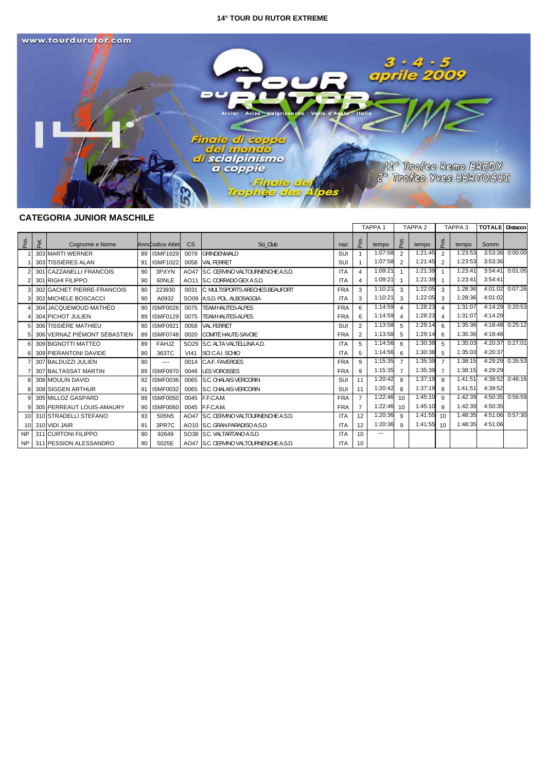

# **CATEGORIA JUNIOR MASCHILE**

|                 |      |                              |    |                  |      |                                        |            |                | TAPPA <sub>1</sub> | TAPPA <sub>2</sub> |              |                | TAPPA <sub>3</sub> | <b>TOTALE</b> Distacco |                 |
|-----------------|------|------------------------------|----|------------------|------|----------------------------------------|------------|----------------|--------------------|--------------------|--------------|----------------|--------------------|------------------------|-----------------|
| Pos.            | Pet. | Cognome e Nome               |    | Annd odice Atlet | CS   | Sci Club                               | naz        | Pos.           | tempo              | Pos.               | tempo        | Pos.           | tempo              | Somm                   |                 |
|                 |      | 303 MARTI WERNER             |    | 89 ISMF1029      | 0079 | GRINDENWALD                            | SUI        |                | 1:07:58            | $\mathcal{P}$      | 1:21:45      | $\overline{2}$ | 1:23:53            | 3:53:36                | 0:00:00         |
|                 |      | 303 TISSIÈRES ALAN           | 91 | <b>ISMF1022</b>  |      | 0058 VAL FERRET                        | SUI        |                | 1:07:58            | 2                  | 1:21:45      | $\overline{2}$ | 1:23:53            | 3:53:36                |                 |
|                 |      | 301 CAZZANELLI FRANCOIS      | 90 | 3PXYN            |      | AO47 S.C. CERVINO VALTOURNENCHE A.S.D. | <b>ITA</b> | $\overline{4}$ | 1:09:21            |                    | 1:21:39      | $\overline{1}$ | 1:23:41            | 3:54:41                | 0:01:05         |
|                 |      | 301 RIGHI FILIPPO            | 90 | 60NLE            |      | AO11 S.C. CORRADO GEX A.S.D.           | <b>ITA</b> | 4              | 1:09:21            |                    | 1:21:39      |                | 1:23:41            | 3:54:41                |                 |
|                 |      | 302 GACHET PIERRE-FRANCOIS   | 90 | 223930           |      | 0031 C. MULTISPORTS ARECHES BEAUFORT   | <b>FRA</b> | 3              | 1:10:21            | $\mathcal{A}$      | 1:22:05      | $\mathcal{R}$  | 1:28:36            |                        | 4:01:02 0:07:26 |
|                 |      | 302 MICHELE BOSCACCI         | 90 | A0932            |      | SO09 A.S.D. POL. ALBOSAGGIA            | <b>ITA</b> | 3              | 1:10:21            | 3                  | 1:22:05      | 3              | 1:28:36            | 4:01:02                |                 |
|                 |      | 304 JACQUEMOUD MATHÉO        | 90 | <b>ISMF0026</b>  |      | 0075 TEAM HAUTES-ALPES                 | <b>FRA</b> | 6              | 1:14:59            | 4                  | 1:28:23      | $\overline{4}$ | 1:31:07            | 4:14:29                | 0:20:53         |
|                 |      | 304 PICHOT JULIEN            | 89 | <b>ISMF0129</b>  |      | 0075   TEAM HAUTES-ALPES               | <b>FRA</b> | 6              | 1:14:59            | 4                  | 1:28:23      | $\overline{4}$ | 1:31:07            | 4:14:29                |                 |
|                 |      | 306 TISSIÈRE MATHIEU         | 90 | <b>ISMF0921</b>  |      | 0058 VAL FERRET                        | SUI        | $\overline{2}$ | 1:13:58            | 5                  | 1:29:14      | 6              | 1:35:36            |                        | 4:18:48 0:25:12 |
|                 |      | 306 VERNAZ PIÉMONT SÉBASTIEN |    | 89 ISMF0748      |      | 0020 COMITÉ HAUTE-SAVOIE               | <b>FRA</b> | 2              | 1:13:58            | 5                  | 1:29:14      | 6              | 1:35:36            | 4:18:48                |                 |
|                 |      | 309 BIGNOTTI MATTEO          | 89 | <b>FAHJZ</b>     |      | SO29 S.C. ALTA VALTELLINA A.D.         | <b>ITA</b> | 5              | 1:14:56            | 6                  | 1:30:38      | 5              | 1:35:03            | 4:20:37                | 0:27:01         |
|                 |      | 309 PIERANTONI DAVIDE        | 90 | 363TC            |      | VI41 SCI C.A.I. SCHIO                  | <b>ITA</b> | 5              | 1:14:56            | 6                  | 1:30:38      | -5             | 1:35:03            | 4:20:37                |                 |
|                 |      | 307 BALDUZZI JULIEN          | 90 | ----             |      | 0014 C.A.F. FAVERGES                   | <b>FRA</b> | 9              | 1:15:35            | $\overline{7}$     | 1:35:39      | $\overline{7}$ | 1:38:15            | 4:29:29                | 0:35:53         |
|                 |      | 307 BALTASSAT MARTIN         | 89 | <b>ISMF0970</b>  |      | 0048 LES VOROSSES                      | <b>FRA</b> | 9              | 1:15:35            | $\overline{7}$     | 1:35:39      | $\overline{7}$ | 1:38:15            | 4:29:29                |                 |
|                 |      | 308 MOULIN DAVID             |    | 92 ISMF0036      |      | 0065 S.C. CHALAIS-VERCORIN             | SUI        | 11             | 1:20:42            | 8                  | 1:37:19      | -8             | 1:41:51            | 4:39:52                | 0:46:16         |
|                 |      | 308 SIGGEN ARTHUR            | 91 | <b>ISMF0032</b>  |      | 0065 S.C. CHALAIS-VERCORIN             | SUI        | 11             | 1:20:42            | 8                  | 1:37:19      | 8              | 1:41:51            | 4:39:52                |                 |
| 9               |      | 305 MILLOZ GASPARD           | 89 | <b>ISMF0050</b>  |      | 0045 F.F.C.A.M.                        | <b>FRA</b> | $\overline{7}$ | 1:22:46            | 10                 | 1:45:10      | 9              | 1:42:39            | 4:50:35                | 0:56:59         |
|                 |      | 305 PERREAUT LOUIS-AMAURY    | 90 | <b>ISMF0060</b>  |      | 0045 F.F.C.A.M.                        | <b>FRA</b> | $\overline{7}$ | 1:22:46            | 10                 | 1:45:10      | 9              | 1:42:39            | 4:50:35                |                 |
| 10 <sup>1</sup> |      | 310 STRADELLI STEFANO        | 93 | 505N5            |      | AO47 S.C. CERVINO VALTOURNENCHE A.S.D. | <b>ITA</b> | 12             | 1:20:36            | 9                  | $1:41:55$ 10 |                | 1:48:35            |                        | 4:51:06 0:57:30 |
| 10 <sup>1</sup> |      | 310 VIDI JAIR                | 91 | 3PR7C            |      | AO10 S.C. GRAN PARADISO A.S.D.         | <b>ITA</b> | 12             | 1:20:36            | 9                  | $1:41:55$ 10 |                | 1:48:35            | 4:51:06                |                 |
| <b>NP</b>       |      | 311 CURTONI FILIPPO          | 90 | 92649            |      | SO38 S.C. VALTARTANO A.S.D.            | <b>ITA</b> | 10             | ---                |                    |              |                |                    |                        |                 |
| NP.             |      | 311 PESSION ALESSANDRO       | 90 | 5025E            |      | AO47 S.C. CERVINO VALTOURNENCHE A.S.D. | <b>ITA</b> | 10             |                    |                    |              |                |                    |                        |                 |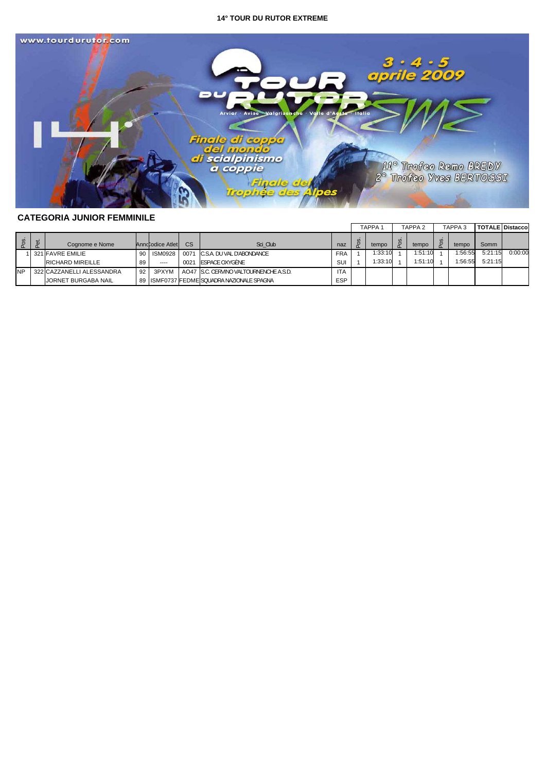

# **CATEGORIA JUNIOR FEMMINILE**

|           |  |                |                            |    |                  |      |                                              |            |  | <b>TAPPA</b> |  | TAPPA 2 | TAPPA <sub>3</sub> |         | <b>TOTALE Distaccol</b> |
|-----------|--|----------------|----------------------------|----|------------------|------|----------------------------------------------|------------|--|--------------|--|---------|--------------------|---------|-------------------------|
|           |  | $\vec{a}$<br>n | Cognome e Nome             |    | Annd odice Atlet | CS   | Sci Club                                     | naz        |  | tempo        |  | tempo   | tempo              | Somm    |                         |
|           |  |                | 321 FAVRE EMILIE           | 90 | <b>ISM0928</b>   |      | 0071 C.S.A. DU VAL D'ABONDANCE               | <b>FRA</b> |  | 1:33:10      |  | 1:51:10 | 1:56:55            | 5:21:15 | 0:00:00                 |
|           |  |                | <b>RICHARD MIREILLE</b>    | 89 | $- - - -$        | 0021 | ESPACE OXYGÈNE                               | SUI        |  | 1:33:10      |  | 1:51:10 | 1:56:55            | 5:21:15 |                         |
| <b>NP</b> |  |                | 322 CAZZANELLI ALESSANDRA  | 92 | 3PXYM            |      | AO47 S.C. CERVINO VALTOURNENCHE A.S.D.       | <b>ITA</b> |  |              |  |         |                    |         |                         |
|           |  |                | <b>JORNET BURGABA NAIL</b> |    |                  |      | 89   ISMF0737 FEDME SQUADRA NAZIONALE SPAGNA | ESP        |  |              |  |         |                    |         |                         |